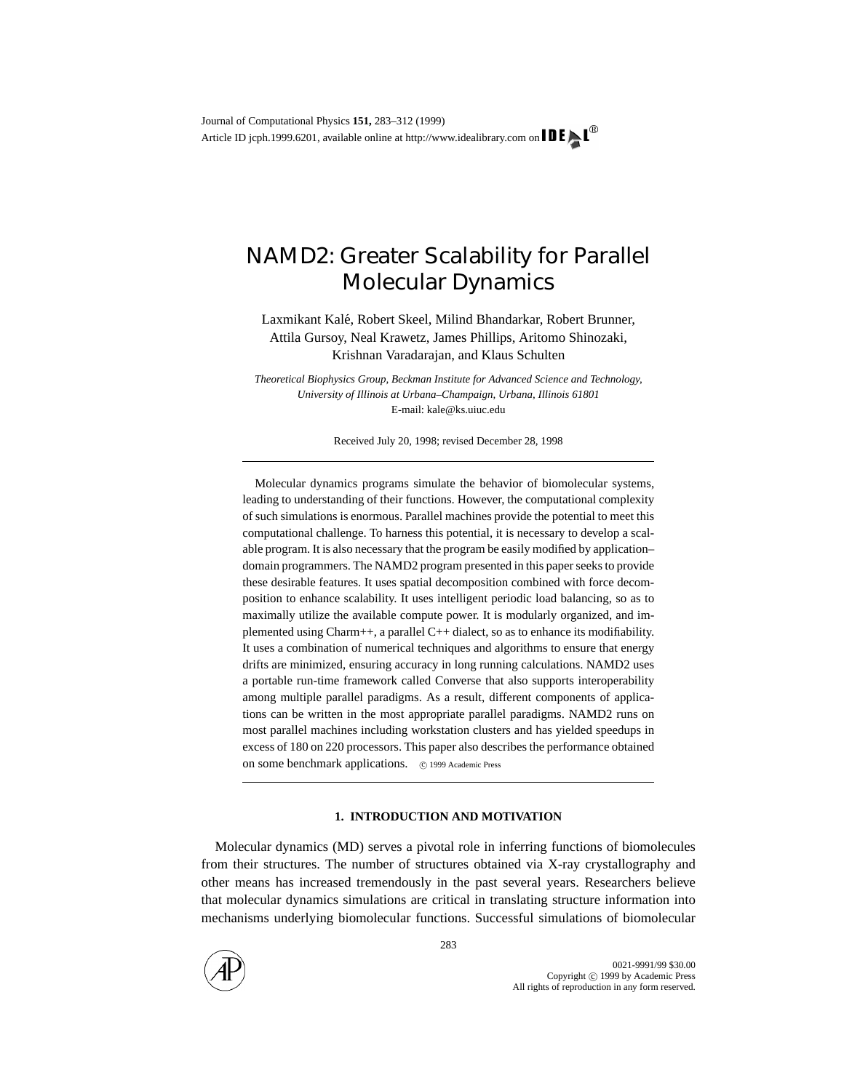# NAMD2: Greater Scalability for Parallel Molecular Dynamics

Laxmikant Kalé, Robert Skeel, Milind Bhandarkar, Robert Brunner, Attila Gursoy, Neal Krawetz, James Phillips, Aritomo Shinozaki, Krishnan Varadarajan, and Klaus Schulten

*Theoretical Biophysics Group, Beckman Institute for Advanced Science and Technology, University of Illinois at Urbana–Champaign, Urbana, Illinois 61801* E-mail: kale@ks.uiuc.edu

Received July 20, 1998; revised December 28, 1998

Molecular dynamics programs simulate the behavior of biomolecular systems, leading to understanding of their functions. However, the computational complexity of such simulations is enormous. Parallel machines provide the potential to meet this computational challenge. To harness this potential, it is necessary to develop a scalable program. It is also necessary that the program be easily modified by application– domain programmers. The NAMD2 program presented in this paper seeks to provide these desirable features. It uses spatial decomposition combined with force decomposition to enhance scalability. It uses intelligent periodic load balancing, so as to maximally utilize the available compute power. It is modularly organized, and implemented using Charm++, a parallel  $C++$  dialect, so as to enhance its modifiability. It uses a combination of numerical techniques and algorithms to ensure that energy drifts are minimized, ensuring accuracy in long running calculations. NAMD2 uses a portable run-time framework called Converse that also supports interoperability among multiple parallel paradigms. As a result, different components of applications can be written in the most appropriate parallel paradigms. NAMD2 runs on most parallel machines including workstation clusters and has yielded speedups in excess of 180 on 220 processors. This paper also describes the performance obtained on some benchmark applications. © 1999 Academic Press

## **1. INTRODUCTION AND MOTIVATION**

Molecular dynamics (MD) serves a pivotal role in inferring functions of biomolecules from their structures. The number of structures obtained via X-ray crystallography and other means has increased tremendously in the past several years. Researchers believe that molecular dynamics simulations are critical in translating structure information into mechanisms underlying biomolecular functions. Successful simulations of biomolecular

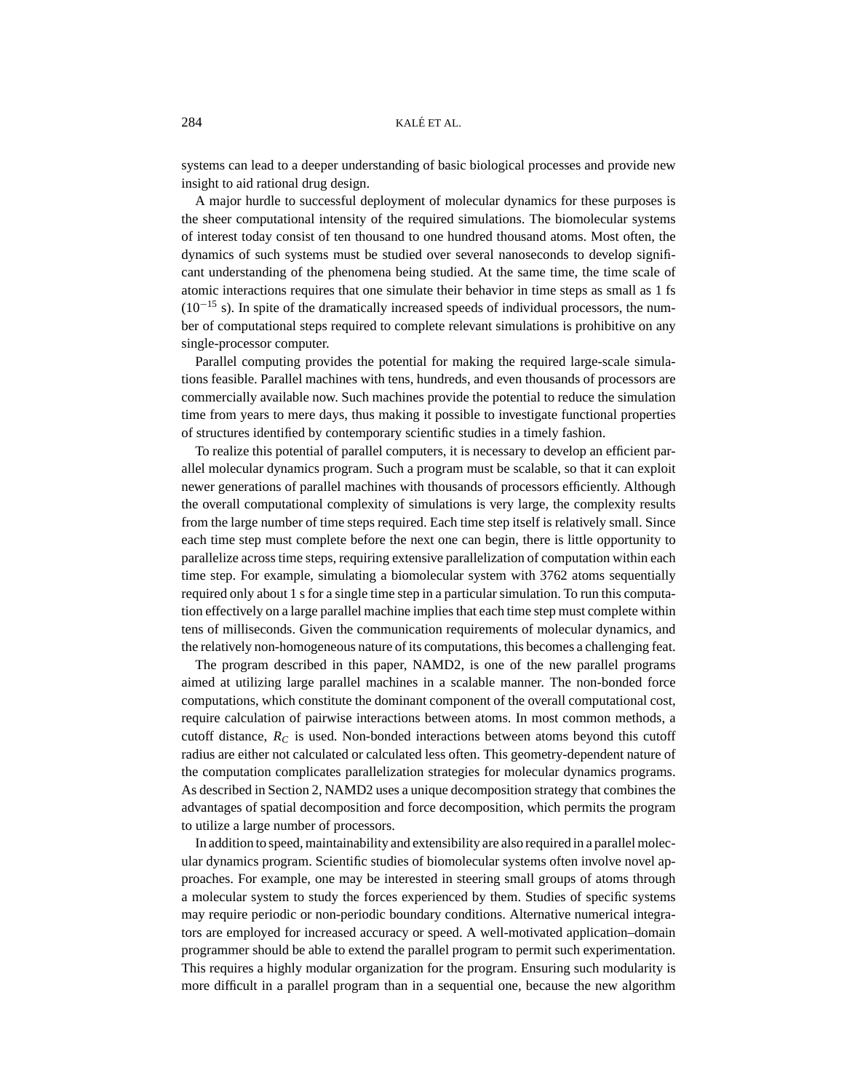systems can lead to a deeper understanding of basic biological processes and provide new insight to aid rational drug design.

A major hurdle to successful deployment of molecular dynamics for these purposes is the sheer computational intensity of the required simulations. The biomolecular systems of interest today consist of ten thousand to one hundred thousand atoms. Most often, the dynamics of such systems must be studied over several nanoseconds to develop significant understanding of the phenomena being studied. At the same time, the time scale of atomic interactions requires that one simulate their behavior in time steps as small as 1 fs  $(10^{-15}$  s). In spite of the dramatically increased speeds of individual processors, the number of computational steps required to complete relevant simulations is prohibitive on any single-processor computer.

Parallel computing provides the potential for making the required large-scale simulations feasible. Parallel machines with tens, hundreds, and even thousands of processors are commercially available now. Such machines provide the potential to reduce the simulation time from years to mere days, thus making it possible to investigate functional properties of structures identified by contemporary scientific studies in a timely fashion.

To realize this potential of parallel computers, it is necessary to develop an efficient parallel molecular dynamics program. Such a program must be scalable, so that it can exploit newer generations of parallel machines with thousands of processors efficiently. Although the overall computational complexity of simulations is very large, the complexity results from the large number of time steps required. Each time step itself is relatively small. Since each time step must complete before the next one can begin, there is little opportunity to parallelize across time steps, requiring extensive parallelization of computation within each time step. For example, simulating a biomolecular system with 3762 atoms sequentially required only about 1 s for a single time step in a particular simulation. To run this computation effectively on a large parallel machine implies that each time step must complete within tens of milliseconds. Given the communication requirements of molecular dynamics, and the relatively non-homogeneous nature of its computations, this becomes a challenging feat.

The program described in this paper, NAMD2, is one of the new parallel programs aimed at utilizing large parallel machines in a scalable manner. The non-bonded force computations, which constitute the dominant component of the overall computational cost, require calculation of pairwise interactions between atoms. In most common methods, a cutoff distance,  $R_C$  is used. Non-bonded interactions between atoms beyond this cutoff radius are either not calculated or calculated less often. This geometry-dependent nature of the computation complicates parallelization strategies for molecular dynamics programs. As described in Section 2, NAMD2 uses a unique decomposition strategy that combines the advantages of spatial decomposition and force decomposition, which permits the program to utilize a large number of processors.

In addition to speed, maintainability and extensibility are also required in a parallel molecular dynamics program. Scientific studies of biomolecular systems often involve novel approaches. For example, one may be interested in steering small groups of atoms through a molecular system to study the forces experienced by them. Studies of specific systems may require periodic or non-periodic boundary conditions. Alternative numerical integrators are employed for increased accuracy or speed. A well-motivated application–domain programmer should be able to extend the parallel program to permit such experimentation. This requires a highly modular organization for the program. Ensuring such modularity is more difficult in a parallel program than in a sequential one, because the new algorithm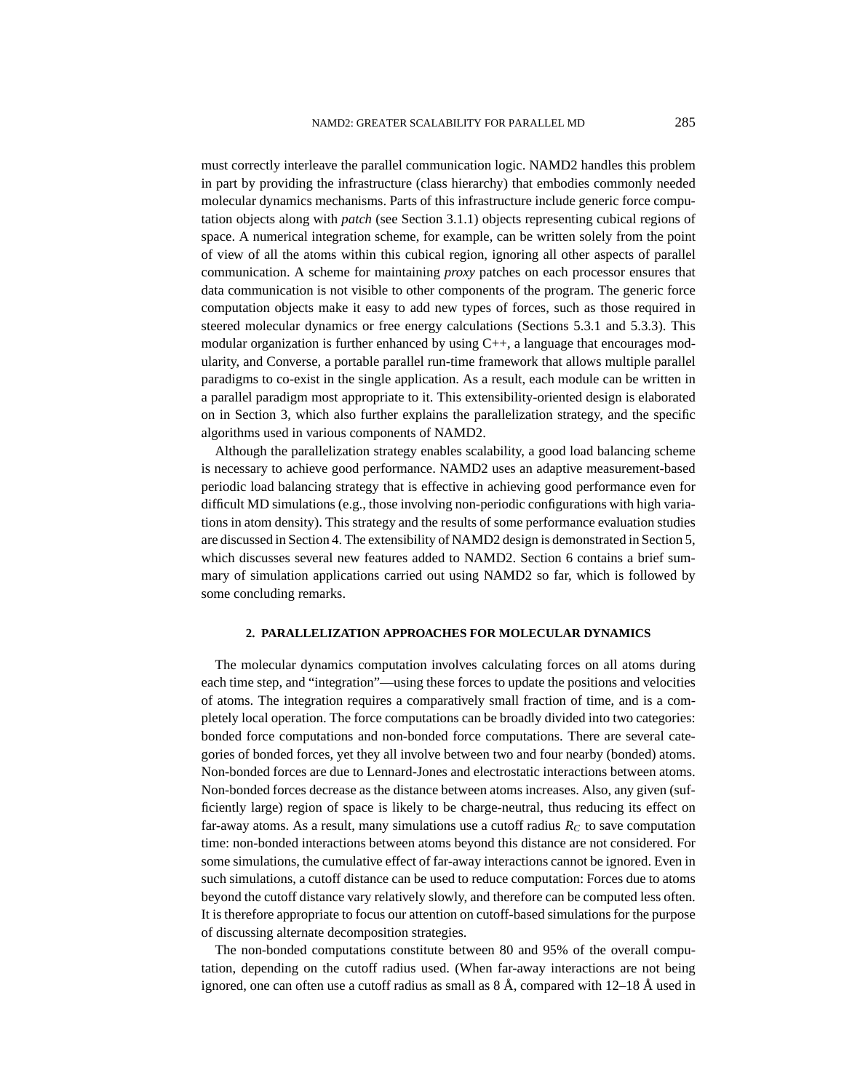must correctly interleave the parallel communication logic. NAMD2 handles this problem in part by providing the infrastructure (class hierarchy) that embodies commonly needed molecular dynamics mechanisms. Parts of this infrastructure include generic force computation objects along with *patch* (see Section 3.1.1) objects representing cubical regions of space. A numerical integration scheme, for example, can be written solely from the point of view of all the atoms within this cubical region, ignoring all other aspects of parallel communication. A scheme for maintaining *proxy* patches on each processor ensures that data communication is not visible to other components of the program. The generic force computation objects make it easy to add new types of forces, such as those required in steered molecular dynamics or free energy calculations (Sections 5.3.1 and 5.3.3). This modular organization is further enhanced by using  $C_{++}$ , a language that encourages modularity, and Converse, a portable parallel run-time framework that allows multiple parallel paradigms to co-exist in the single application. As a result, each module can be written in a parallel paradigm most appropriate to it. This extensibility-oriented design is elaborated on in Section 3, which also further explains the parallelization strategy, and the specific algorithms used in various components of NAMD2.

Although the parallelization strategy enables scalability, a good load balancing scheme is necessary to achieve good performance. NAMD2 uses an adaptive measurement-based periodic load balancing strategy that is effective in achieving good performance even for difficult MD simulations (e.g., those involving non-periodic configurations with high variations in atom density). This strategy and the results of some performance evaluation studies are discussed in Section 4. The extensibility of NAMD2 design is demonstrated in Section 5, which discusses several new features added to NAMD2. Section 6 contains a brief summary of simulation applications carried out using NAMD2 so far, which is followed by some concluding remarks.

## **2. PARALLELIZATION APPROACHES FOR MOLECULAR DYNAMICS**

The molecular dynamics computation involves calculating forces on all atoms during each time step, and "integration"—using these forces to update the positions and velocities of atoms. The integration requires a comparatively small fraction of time, and is a completely local operation. The force computations can be broadly divided into two categories: bonded force computations and non-bonded force computations. There are several categories of bonded forces, yet they all involve between two and four nearby (bonded) atoms. Non-bonded forces are due to Lennard-Jones and electrostatic interactions between atoms. Non-bonded forces decrease as the distance between atoms increases. Also, any given (sufficiently large) region of space is likely to be charge-neutral, thus reducing its effect on far-away atoms. As a result, many simulations use a cutoff radius  $R<sub>C</sub>$  to save computation time: non-bonded interactions between atoms beyond this distance are not considered. For some simulations, the cumulative effect of far-away interactions cannot be ignored. Even in such simulations, a cutoff distance can be used to reduce computation: Forces due to atoms beyond the cutoff distance vary relatively slowly, and therefore can be computed less often. It is therefore appropriate to focus our attention on cutoff-based simulations for the purpose of discussing alternate decomposition strategies.

The non-bonded computations constitute between 80 and 95% of the overall computation, depending on the cutoff radius used. (When far-away interactions are not being ignored, one can often use a cutoff radius as small as  $8 \text{ Å}$ , compared with  $12-18 \text{ Å}$  used in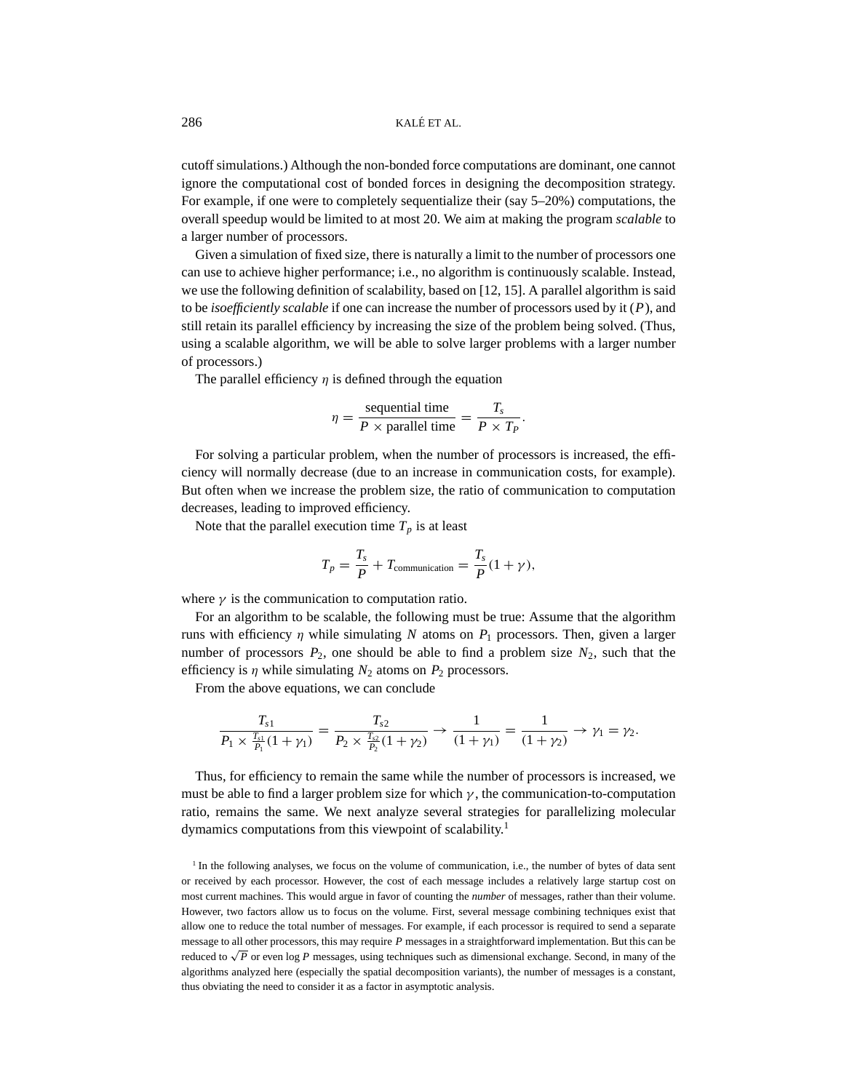cutoff simulations.) Although the non-bonded force computations are dominant, one cannot ignore the computational cost of bonded forces in designing the decomposition strategy. For example, if one were to completely sequentialize their (say 5–20%) computations, the overall speedup would be limited to at most 20. We aim at making the program *scalable* to a larger number of processors.

Given a simulation of fixed size, there is naturally a limit to the number of processors one can use to achieve higher performance; i.e., no algorithm is continuously scalable. Instead, we use the following definition of scalability, based on [12, 15]. A parallel algorithm is said to be *isoefficiently scalable* if one can increase the number of processors used by it (*P*), and still retain its parallel efficiency by increasing the size of the problem being solved. (Thus, using a scalable algorithm, we will be able to solve larger problems with a larger number of processors.)

The parallel efficiency  $\eta$  is defined through the equation

$$
\eta = \frac{\text{sequential time}}{P \times \text{parallel time}} = \frac{T_s}{P \times T_P}.
$$

For solving a particular problem, when the number of processors is increased, the efficiency will normally decrease (due to an increase in communication costs, for example). But often when we increase the problem size, the ratio of communication to computation decreases, leading to improved efficiency.

Note that the parallel execution time  $T_p$  is at least

$$
T_p = \frac{T_s}{P} + T_{\text{communication}} = \frac{T_s}{P}(1+\gamma),
$$

where  $\gamma$  is the communication to computation ratio.

For an algorithm to be scalable, the following must be true: Assume that the algorithm runs with efficiency  $\eta$  while simulating N atoms on  $P_1$  processors. Then, given a larger number of processors  $P_2$ , one should be able to find a problem size  $N_2$ , such that the efficiency is  $\eta$  while simulating  $N_2$  atoms on  $P_2$  processors.

From the above equations, we can conclude

$$
\frac{T_{s1}}{P_1 \times \frac{T_{s1}}{P_1}(1+\gamma_1)} = \frac{T_{s2}}{P_2 \times \frac{T_{s2}}{P_2}(1+\gamma_2)} \to \frac{1}{(1+\gamma_1)} = \frac{1}{(1+\gamma_2)} \to \gamma_1 = \gamma_2.
$$

Thus, for efficiency to remain the same while the number of processors is increased, we must be able to find a larger problem size for which  $\gamma$ , the communication-to-computation ratio, remains the same. We next analyze several strategies for parallelizing molecular dymamics computations from this viewpoint of scalability.<sup>1</sup>

<sup>1</sup> In the following analyses, we focus on the volume of communication, i.e., the number of bytes of data sent or received by each processor. However, the cost of each message includes a relatively large startup cost on most current machines. This would argue in favor of counting the *number* of messages, rather than their volume. However, two factors allow us to focus on the volume. First, several message combining techniques exist that allow one to reduce the total number of messages. For example, if each processor is required to send a separate message to all other processors, this may require *P* messages in a straightforward implementation. But this can be reduced to <sup>√</sup>*<sup>P</sup>* or even log *<sup>P</sup>* messages, using techniques such as dimensional exchange. Second, in many of the algorithms analyzed here (especially the spatial decomposition variants), the number of messages is a constant, thus obviating the need to consider it as a factor in asymptotic analysis.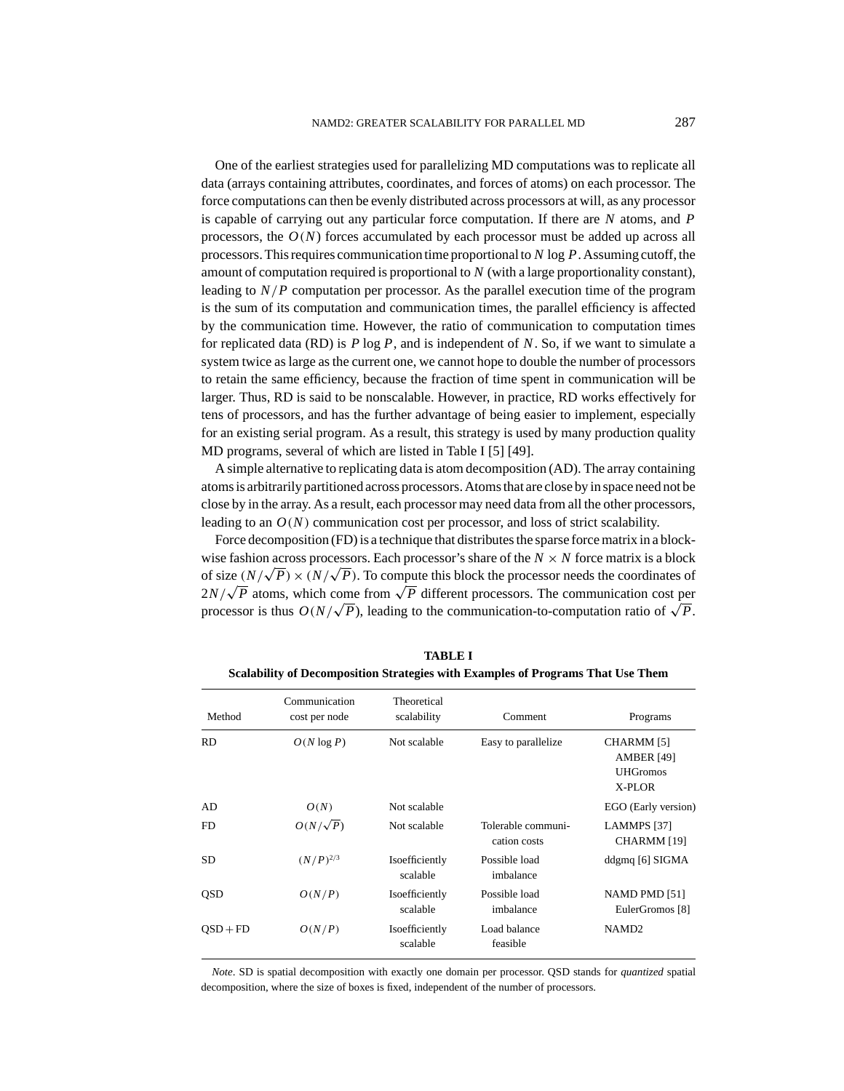One of the earliest strategies used for parallelizing MD computations was to replicate all data (arrays containing attributes, coordinates, and forces of atoms) on each processor. The force computations can then be evenly distributed across processors at will, as any processor is capable of carrying out any particular force computation. If there are *N* atoms, and *P* processors, the  $O(N)$  forces accumulated by each processor must be added up across all processors. This requires communication time proportional to *N* log *P*. Assuming cutoff, the amount of computation required is proportional to *N* (with a large proportionality constant), leading to *N*/*P* computation per processor. As the parallel execution time of the program is the sum of its computation and communication times, the parallel efficiency is affected by the communication time. However, the ratio of communication to computation times for replicated data (RD) is *P* log *P*, and is independent of *N*. So, if we want to simulate a system twice as large as the current one, we cannot hope to double the number of processors to retain the same efficiency, because the fraction of time spent in communication will be larger. Thus, RD is said to be nonscalable. However, in practice, RD works effectively for tens of processors, and has the further advantage of being easier to implement, especially for an existing serial program. As a result, this strategy is used by many production quality MD programs, several of which are listed in Table I [5] [49].

A simple alternative to replicating data is atom decomposition (AD). The array containing atoms is arbitrarily partitioned across processors. Atoms that are close by in space need not be close by in the array. As a result, each processor may need data from all the other processors, leading to an  $O(N)$  communication cost per processor, and loss of strict scalability.

Force decomposition (FD) is a technique that distributes the sparse force matrix in a blockwise fashion across processors. Each processor's share of the  $N \times N$  force matrix is a block of size  $(N/\sqrt{P}) \times (N/\sqrt{P})$ . To compute this block the processor needs the coordinates of  $2N/\sqrt{P}$  atoms, which come from  $\sqrt{P}$  different processors. The communication cost per processor is thus  $O(N/\sqrt{P})$ , leading to the communication-to-computation ratio of  $\sqrt{P}$ .

| Method     | Communication<br>cost per node | Theoretical<br>scalability | Comment                            | Programs                                                     |
|------------|--------------------------------|----------------------------|------------------------------------|--------------------------------------------------------------|
| <b>RD</b>  | $O(N \log P)$                  | Not scalable               | Easy to parallelize                | CHARMM [5]<br><b>AMBER</b> [49]<br><b>UHGromos</b><br>X-PLOR |
| AD         | O(N)                           | Not scalable               |                                    | EGO (Early version)                                          |
| FD.        | $O(N/\sqrt{P})$                | Not scalable               | Tolerable communi-<br>cation costs | LAMMPS [37]<br>CHARMM [19]                                   |
| SD.        | $(N/P)^{2/3}$                  | Isoefficiently<br>scalable | Possible load<br>imbalance         | ddgmq [6] SIGMA                                              |
| <b>OSD</b> | O(N/P)                         | Isoefficiently<br>scalable | Possible load<br>imbalance         | NAMD PMD [51]<br>EulerGromos [8]                             |
| $OSD + FD$ | O(N/P)                         | Isoefficiently<br>scalable | Load balance<br>feasible           | NAMD <sub>2</sub>                                            |

**TABLE I**

*Note*. SD is spatial decomposition with exactly one domain per processor. QSD stands for *quantized* spatial decomposition, where the size of boxes is fixed, independent of the number of processors.

**Scalability of Decomposition Strategies with Examples of Programs That Use Them**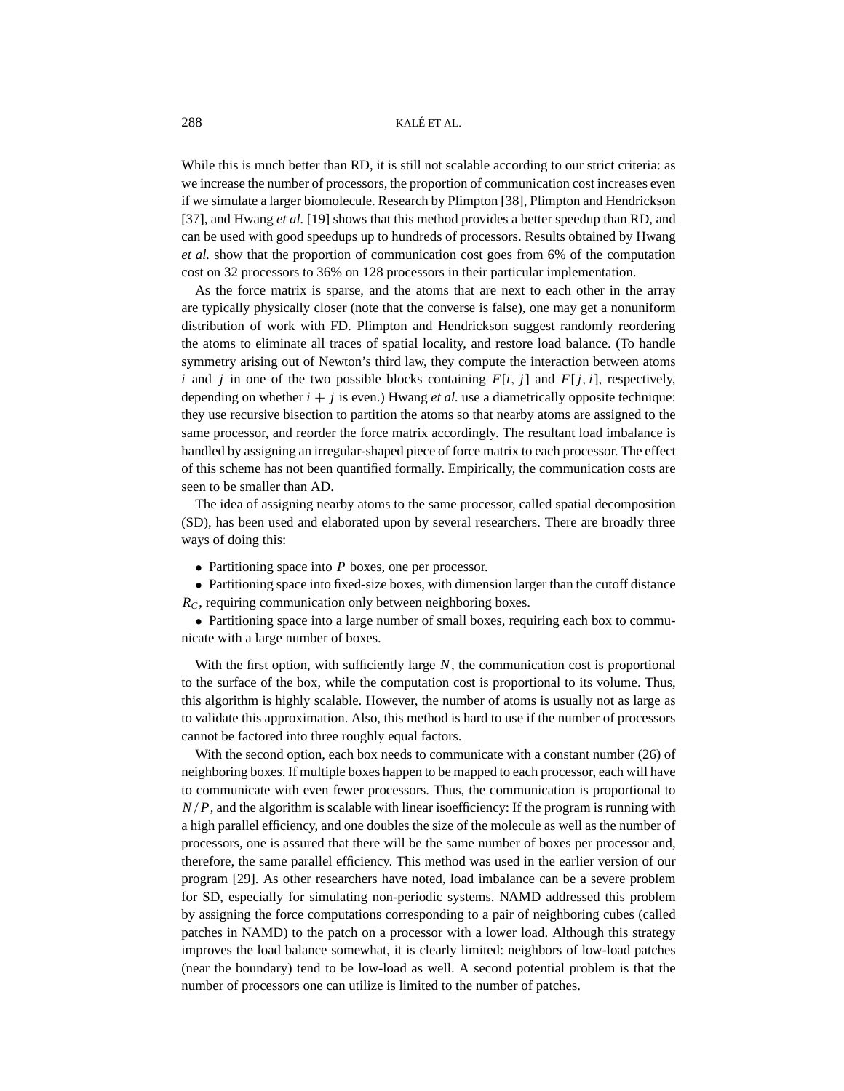While this is much better than RD, it is still not scalable according to our strict criteria: as we increase the number of processors, the proportion of communication cost increases even if we simulate a larger biomolecule. Research by Plimpton [38], Plimpton and Hendrickson [37], and Hwang *et al.* [19] shows that this method provides a better speedup than RD, and can be used with good speedups up to hundreds of processors. Results obtained by Hwang *et al.* show that the proportion of communication cost goes from 6% of the computation cost on 32 processors to 36% on 128 processors in their particular implementation.

As the force matrix is sparse, and the atoms that are next to each other in the array are typically physically closer (note that the converse is false), one may get a nonuniform distribution of work with FD. Plimpton and Hendrickson suggest randomly reordering the atoms to eliminate all traces of spatial locality, and restore load balance. (To handle symmetry arising out of Newton's third law, they compute the interaction between atoms *i* and *j* in one of the two possible blocks containing  $F[i, j]$  and  $F[j, i]$ , respectively, depending on whether  $i + j$  is even.) Hwang *et al.* use a diametrically opposite technique: they use recursive bisection to partition the atoms so that nearby atoms are assigned to the same processor, and reorder the force matrix accordingly. The resultant load imbalance is handled by assigning an irregular-shaped piece of force matrix to each processor. The effect of this scheme has not been quantified formally. Empirically, the communication costs are seen to be smaller than AD.

The idea of assigning nearby atoms to the same processor, called spatial decomposition (SD), has been used and elaborated upon by several researchers. There are broadly three ways of doing this:

• Partitioning space into *P* boxes, one per processor.

• Partitioning space into fixed-size boxes, with dimension larger than the cutoff distance *R<sub>C</sub>*, requiring communication only between neighboring boxes.

• Partitioning space into a large number of small boxes, requiring each box to communicate with a large number of boxes.

With the first option, with sufficiently large *N*, the communication cost is proportional to the surface of the box, while the computation cost is proportional to its volume. Thus, this algorithm is highly scalable. However, the number of atoms is usually not as large as to validate this approximation. Also, this method is hard to use if the number of processors cannot be factored into three roughly equal factors.

With the second option, each box needs to communicate with a constant number (26) of neighboring boxes. If multiple boxes happen to be mapped to each processor, each will have to communicate with even fewer processors. Thus, the communication is proportional to *N*/*P*, and the algorithm is scalable with linear isoefficiency: If the program is running with a high parallel efficiency, and one doubles the size of the molecule as well as the number of processors, one is assured that there will be the same number of boxes per processor and, therefore, the same parallel efficiency. This method was used in the earlier version of our program [29]. As other researchers have noted, load imbalance can be a severe problem for SD, especially for simulating non-periodic systems. NAMD addressed this problem by assigning the force computations corresponding to a pair of neighboring cubes (called patches in NAMD) to the patch on a processor with a lower load. Although this strategy improves the load balance somewhat, it is clearly limited: neighbors of low-load patches (near the boundary) tend to be low-load as well. A second potential problem is that the number of processors one can utilize is limited to the number of patches.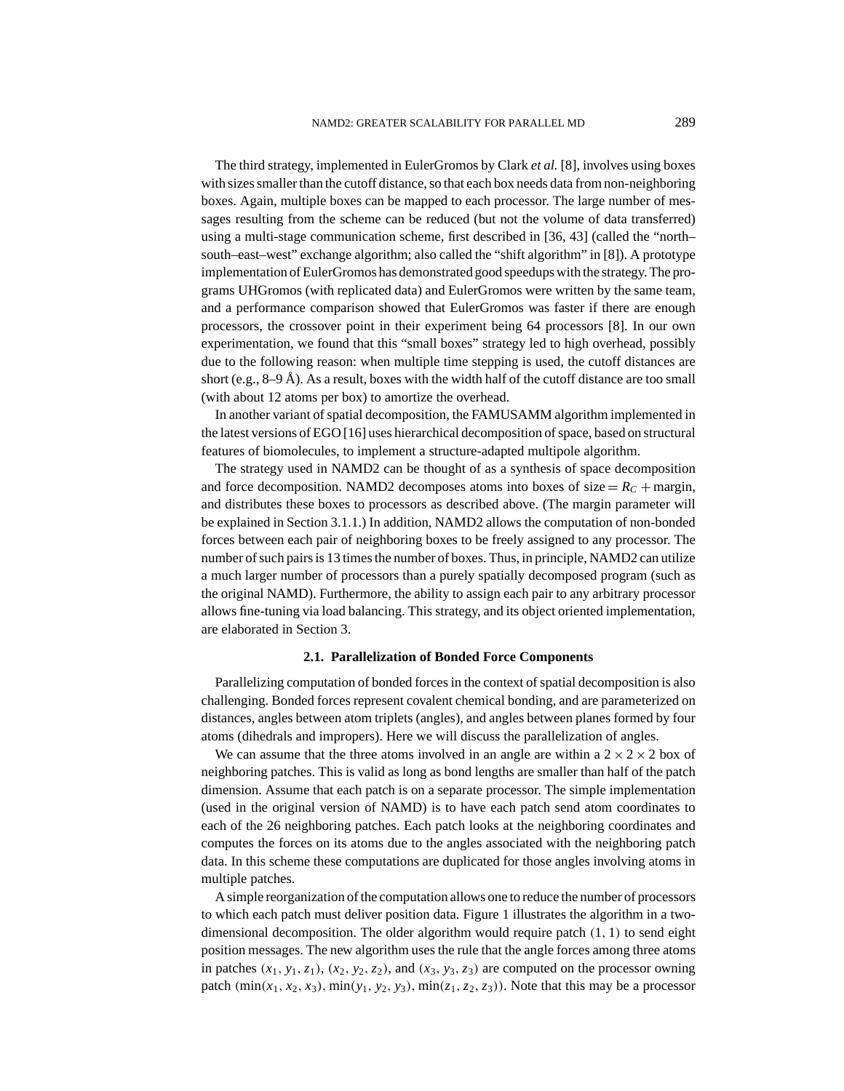The third strategy, implemented in EulerGromos by Clark *et al.* [8], involves using boxes with sizes smaller than the cutoff distance, so that each box needs data from non-neighboring boxes. Again, multiple boxes can be mapped to each processor. The large number of messages resulting from the scheme can be reduced (but not the volume of data transferred) using a multi-stage communication scheme, first described in [36, 43] (called the "north– south–east–west" exchange algorithm; also called the "shift algorithm" in [8]). A prototype implementation of EulerGromos has demonstrated good speedups with the strategy. The programs UHGromos (with replicated data) and EulerGromos were written by the same team, and a performance comparison showed that EulerGromos was faster if there are enough processors, the crossover point in their experiment being 64 processors [8]. In our own experimentation, we found that this "small boxes" strategy led to high overhead, possibly due to the following reason: when multiple time stepping is used, the cutoff distances are short (e.g.,  $8-9$  Å). As a result, boxes with the width half of the cutoff distance are too small (with about 12 atoms per box) to amortize the overhead.

In another variant of spatial decomposition, the FAMUSAMM algorithm implemented in the latest versions of EGO [16] uses hierarchical decomposition of space, based on structural features of biomolecules, to implement a structure-adapted multipole algorithm.

The strategy used in NAMD2 can be thought of as a synthesis of space decomposition and force decomposition. NAMD2 decomposes atoms into boxes of size  $= R<sub>C</sub> + \text{margin}$ , and distributes these boxes to processors as described above. (The margin parameter will be explained in Section 3.1.1.) In addition, NAMD2 allows the computation of non-bonded forces between each pair of neighboring boxes to be freely assigned to any processor. The number of such pairs is 13 times the number of boxes. Thus, in principle, NAMD2 can utilize a much larger number of processors than a purely spatially decomposed program (such as the original NAMD). Furthermore, the ability to assign each pair to any arbitrary processor allows fine-tuning via load balancing. This strategy, and its object oriented implementation, are elaborated in Section 3.

#### **2.1. Parallelization of Bonded Force Components**

Parallelizing computation of bonded forces in the context of spatial decomposition is also challenging. Bonded forces represent covalent chemical bonding, and are parameterized on distances, angles between atom triplets (angles), and angles between planes formed by four atoms (dihedrals and impropers). Here we will discuss the parallelization of angles.

We can assume that the three atoms involved in an angle are within a  $2 \times 2 \times 2$  box of neighboring patches. This is valid as long as bond lengths are smaller than half of the patch dimension. Assume that each patch is on a separate processor. The simple implementation (used in the original version of NAMD) is to have each patch send atom coordinates to each of the 26 neighboring patches. Each patch looks at the neighboring coordinates and computes the forces on its atoms due to the angles associated with the neighboring patch data. In this scheme these computations are duplicated for those angles involving atoms in multiple patches.

A simple reorganization of the computation allows one to reduce the number of processors to which each patch must deliver position data. Figure 1 illustrates the algorithm in a twodimensional decomposition. The older algorithm would require patch  $(1, 1)$  to send eight position messages. The new algorithm uses the rule that the angle forces among three atoms in patches  $(x_1, y_1, z_1)$ ,  $(x_2, y_2, z_2)$ , and  $(x_3, y_3, z_3)$  are computed on the processor owning patch  $(\min(x_1, x_2, x_3), \min(y_1, y_2, y_3), \min(z_1, z_2, z_3))$ . Note that this may be a processor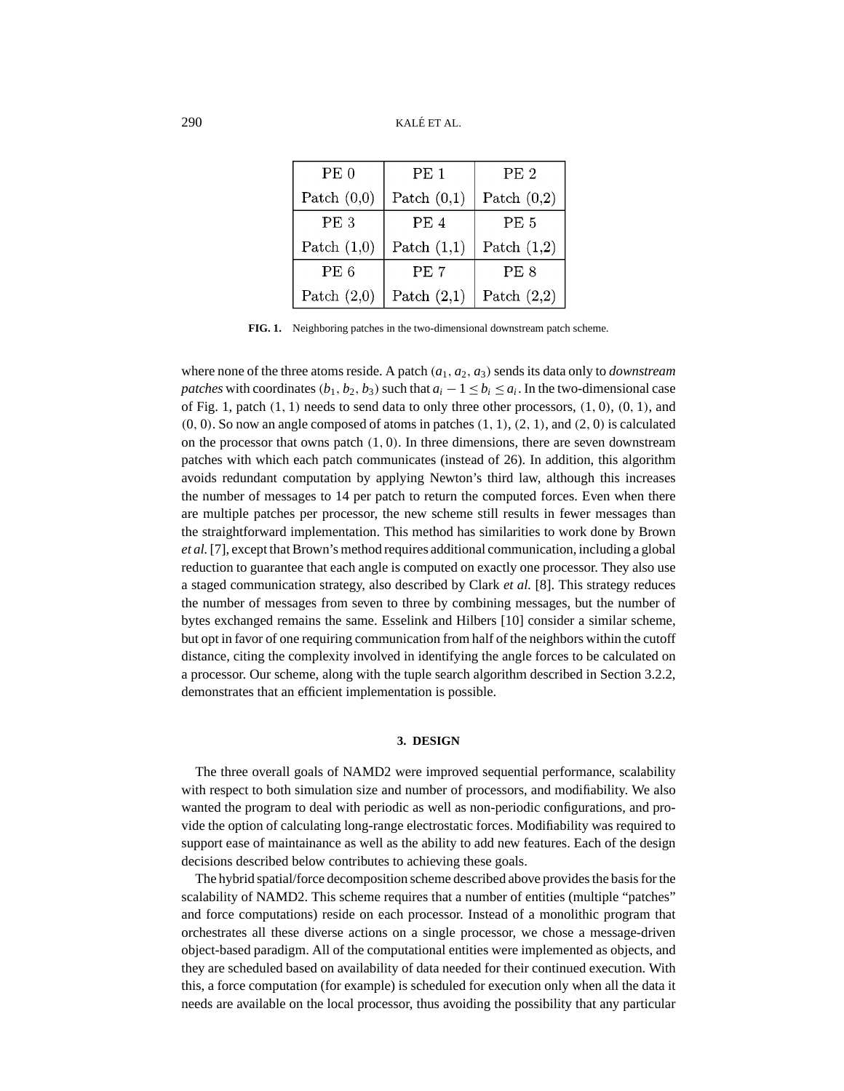| PE <sub>0</sub> | <b>PE 1</b>   | PE <sub>2</sub> |  |  |
|-----------------|---------------|-----------------|--|--|
| Patch $(0,0)$   | Patch $(0,1)$ | Patch $(0,2)$   |  |  |
| <b>PE3</b>      | <b>PE4</b>    | <b>PE 5</b>     |  |  |
| Patch $(1,0)$   | Patch $(1,1)$ | Patch $(1,2)$   |  |  |
| PE6             | PE 7          | PE 8            |  |  |
| Patch $(2,0)$   | Patch $(2,1)$ | Patch $(2,2)$   |  |  |

**FIG. 1.** Neighboring patches in the two-dimensional downstream patch scheme.

where none of the three atoms reside. A patch (*a*1, *a*2, *a*3) sends its data only to *downstream patches* with coordinates  $(b_1, b_2, b_3)$  such that  $a_i - 1 \leq b_i \leq a_i$ . In the two-dimensional case of Fig. 1, patch  $(1, 1)$  needs to send data to only three other processors,  $(1, 0)$ ,  $(0, 1)$ , and  $(0, 0)$ . So now an angle composed of atoms in patches  $(1, 1)$ ,  $(2, 1)$ , and  $(2, 0)$  is calculated on the processor that owns patch  $(1, 0)$ . In three dimensions, there are seven downstream patches with which each patch communicates (instead of 26). In addition, this algorithm avoids redundant computation by applying Newton's third law, although this increases the number of messages to 14 per patch to return the computed forces. Even when there are multiple patches per processor, the new scheme still results in fewer messages than the straightforward implementation. This method has similarities to work done by Brown *et al.*[7], except that Brown's method requires additional communication, including a global reduction to guarantee that each angle is computed on exactly one processor. They also use a staged communication strategy, also described by Clark *et al.* [8]. This strategy reduces the number of messages from seven to three by combining messages, but the number of bytes exchanged remains the same. Esselink and Hilbers [10] consider a similar scheme, but opt in favor of one requiring communication from half of the neighbors within the cutoff distance, citing the complexity involved in identifying the angle forces to be calculated on a processor. Our scheme, along with the tuple search algorithm described in Section 3.2.2, demonstrates that an efficient implementation is possible.

#### **3. DESIGN**

The three overall goals of NAMD2 were improved sequential performance, scalability with respect to both simulation size and number of processors, and modifiability. We also wanted the program to deal with periodic as well as non-periodic configurations, and provide the option of calculating long-range electrostatic forces. Modifiability was required to support ease of maintainance as well as the ability to add new features. Each of the design decisions described below contributes to achieving these goals.

The hybrid spatial/force decomposition scheme described above provides the basis for the scalability of NAMD2. This scheme requires that a number of entities (multiple "patches" and force computations) reside on each processor. Instead of a monolithic program that orchestrates all these diverse actions on a single processor, we chose a message-driven object-based paradigm. All of the computational entities were implemented as objects, and they are scheduled based on availability of data needed for their continued execution. With this, a force computation (for example) is scheduled for execution only when all the data it needs are available on the local processor, thus avoiding the possibility that any particular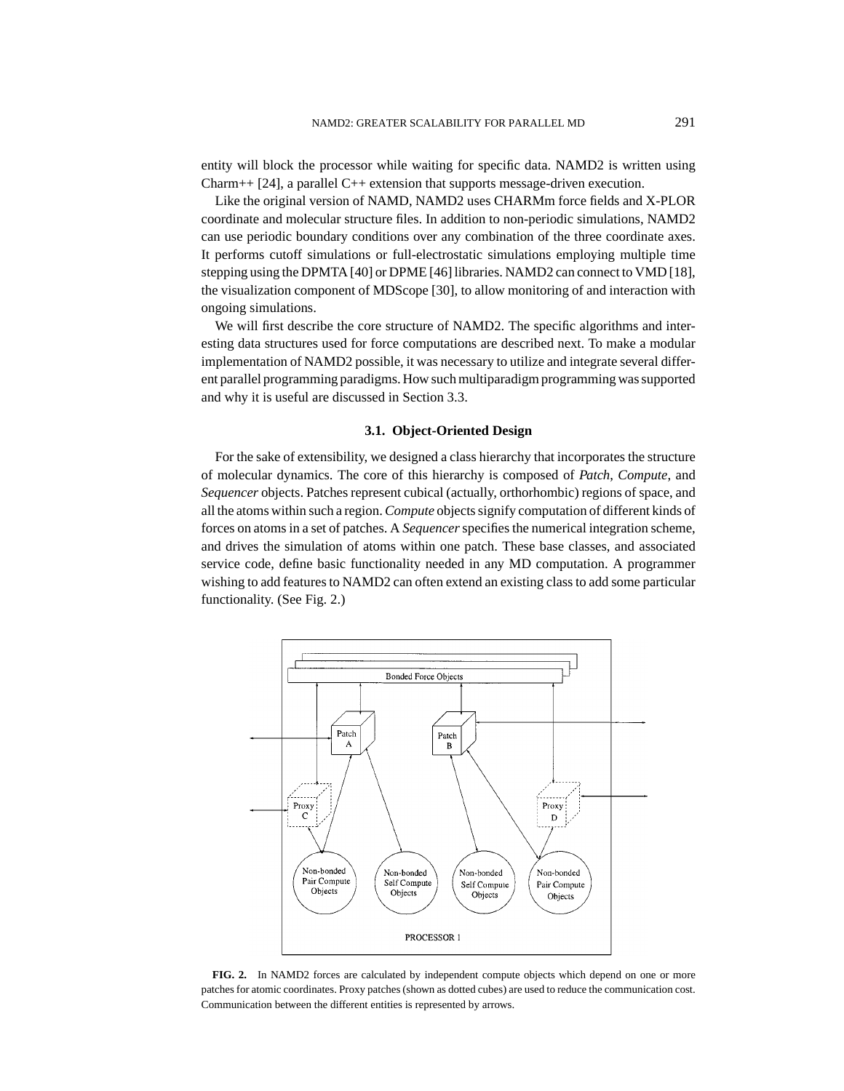entity will block the processor while waiting for specific data. NAMD2 is written using Charm++ [24], a parallel C++ extension that supports message-driven execution.

Like the original version of NAMD, NAMD2 uses CHARMm force fields and X-PLOR coordinate and molecular structure files. In addition to non-periodic simulations, NAMD2 can use periodic boundary conditions over any combination of the three coordinate axes. It performs cutoff simulations or full-electrostatic simulations employing multiple time stepping using the DPMTA [40] or DPME [46] libraries. NAMD2 can connect to VMD [18], the visualization component of MDScope [30], to allow monitoring of and interaction with ongoing simulations.

We will first describe the core structure of NAMD2. The specific algorithms and interesting data structures used for force computations are described next. To make a modular implementation of NAMD2 possible, it was necessary to utilize and integrate several different parallel programming paradigms. How such multiparadigm programming was supported and why it is useful are discussed in Section 3.3.

#### **3.1. Object-Oriented Design**

For the sake of extensibility, we designed a class hierarchy that incorporates the structure of molecular dynamics. The core of this hierarchy is composed of *Patch*, *Compute*, and *Sequencer* objects. Patches represent cubical (actually, orthorhombic) regions of space, and all the atoms within such a region.*Compute* objects signify computation of different kinds of forces on atoms in a set of patches. A *Sequencer*specifies the numerical integration scheme, and drives the simulation of atoms within one patch. These base classes, and associated service code, define basic functionality needed in any MD computation. A programmer wishing to add features to NAMD2 can often extend an existing class to add some particular functionality. (See Fig. 2.)



**FIG. 2.** In NAMD2 forces are calculated by independent compute objects which depend on one or more patches for atomic coordinates. Proxy patches (shown as dotted cubes) are used to reduce the communication cost. Communication between the different entities is represented by arrows.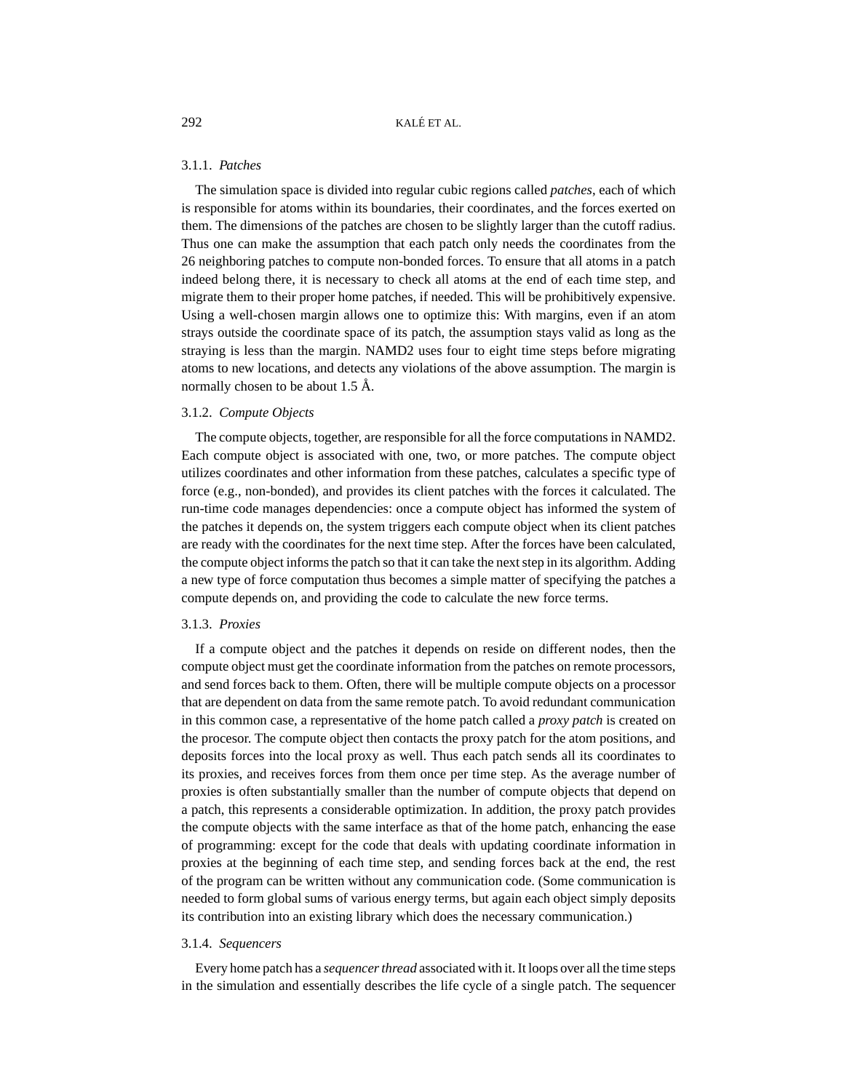# 3.1.1. *Patches*

The simulation space is divided into regular cubic regions called *patches*, each of which is responsible for atoms within its boundaries, their coordinates, and the forces exerted on them. The dimensions of the patches are chosen to be slightly larger than the cutoff radius. Thus one can make the assumption that each patch only needs the coordinates from the 26 neighboring patches to compute non-bonded forces. To ensure that all atoms in a patch indeed belong there, it is necessary to check all atoms at the end of each time step, and migrate them to their proper home patches, if needed. This will be prohibitively expensive. Using a well-chosen margin allows one to optimize this: With margins, even if an atom strays outside the coordinate space of its patch, the assumption stays valid as long as the straying is less than the margin. NAMD2 uses four to eight time steps before migrating atoms to new locations, and detects any violations of the above assumption. The margin is normally chosen to be about  $1.5 \text{ Å}$ .

## 3.1.2. *Compute Objects*

The compute objects, together, are responsible for all the force computations in NAMD2. Each compute object is associated with one, two, or more patches. The compute object utilizes coordinates and other information from these patches, calculates a specific type of force (e.g., non-bonded), and provides its client patches with the forces it calculated. The run-time code manages dependencies: once a compute object has informed the system of the patches it depends on, the system triggers each compute object when its client patches are ready with the coordinates for the next time step. After the forces have been calculated, the compute object informs the patch so that it can take the next step in its algorithm. Adding a new type of force computation thus becomes a simple matter of specifying the patches a compute depends on, and providing the code to calculate the new force terms.

#### 3.1.3. *Proxies*

If a compute object and the patches it depends on reside on different nodes, then the compute object must get the coordinate information from the patches on remote processors, and send forces back to them. Often, there will be multiple compute objects on a processor that are dependent on data from the same remote patch. To avoid redundant communication in this common case, a representative of the home patch called a *proxy patch* is created on the procesor. The compute object then contacts the proxy patch for the atom positions, and deposits forces into the local proxy as well. Thus each patch sends all its coordinates to its proxies, and receives forces from them once per time step. As the average number of proxies is often substantially smaller than the number of compute objects that depend on a patch, this represents a considerable optimization. In addition, the proxy patch provides the compute objects with the same interface as that of the home patch, enhancing the ease of programming: except for the code that deals with updating coordinate information in proxies at the beginning of each time step, and sending forces back at the end, the rest of the program can be written without any communication code. (Some communication is needed to form global sums of various energy terms, but again each object simply deposits its contribution into an existing library which does the necessary communication.)

#### 3.1.4. *Sequencers*

Every home patch has a *sequencer thread* associated with it. It loops over all the time steps in the simulation and essentially describes the life cycle of a single patch. The sequencer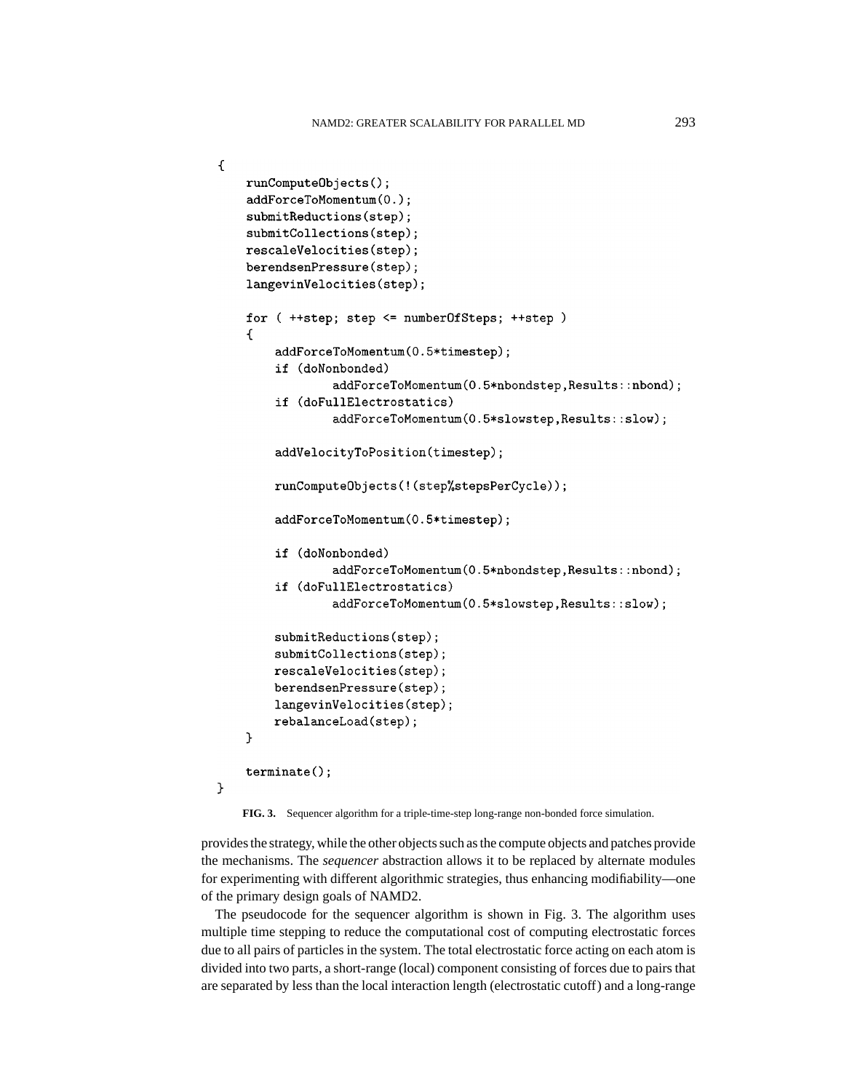

}

```
runComputeObjects();
addForceToMomentum(0.):submitReductions(step);
submitCollections(step);
rescaleVelocities(step);
berendsenPressure(step);
langevinVelocities(step);
for ( ++step; step <= numberOfSteps; ++step )
\overline{A}addForceToMomentum(0.5*timestep);
    if (doNonbonded)
            addForceToMomentum(0.5*nbondstep, Results::nbond);
    if (doFullElectrostatics)
            addForceToMomentum(0.5*slowstep, Results::slow);
    addVelocityToPosition(timestep);
    runComputeObjects(!(step%stepsPerCycle));
    addForceToMomentum(0.5*timestep);
    if (doNonbonded)
            addForceToMomentum(0.5*nbondstep, Results::nbond);
    if (doFullElectrostatics)
            addForceToMomentum(0.5*slowstep, Results::slow);
    submitReductions(step);
    submitCollections(step);
    rescaleVelocities(step);
    berendsenPressure(step);
    langevinVelocities(step);
    rebalanceLoad(step);
J
\texttt{terminate}();
```
**FIG. 3.** Sequencer algorithm for a triple-time-step long-range non-bonded force simulation.

provides the strategy, while the other objects such as the compute objects and patches provide the mechanisms. The *sequencer* abstraction allows it to be replaced by alternate modules for experimenting with different algorithmic strategies, thus enhancing modifiability—one of the primary design goals of NAMD2.

The pseudocode for the sequencer algorithm is shown in Fig. 3. The algorithm uses multiple time stepping to reduce the computational cost of computing electrostatic forces due to all pairs of particles in the system. The total electrostatic force acting on each atom is divided into two parts, a short-range (local) component consisting of forces due to pairs that are separated by less than the local interaction length (electrostatic cutoff) and a long-range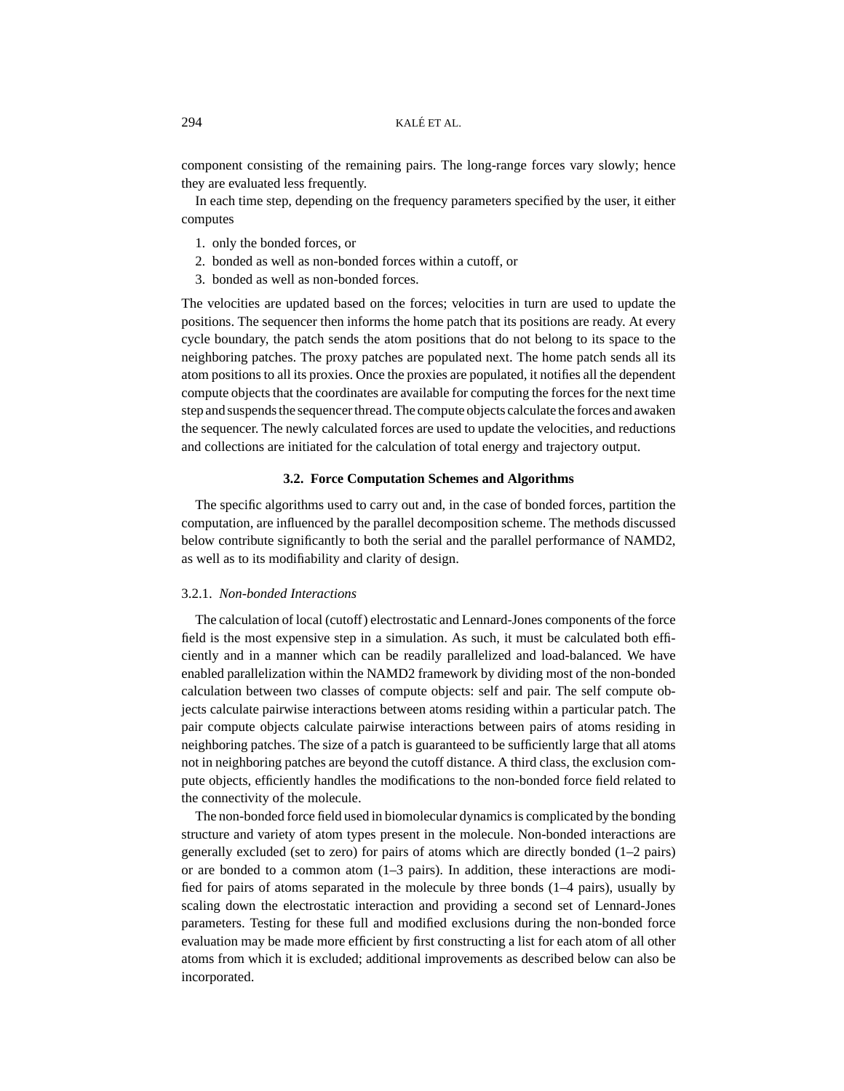component consisting of the remaining pairs. The long-range forces vary slowly; hence they are evaluated less frequently.

In each time step, depending on the frequency parameters specified by the user, it either computes

- 1. only the bonded forces, or
- 2. bonded as well as non-bonded forces within a cutoff, or
- 3. bonded as well as non-bonded forces.

The velocities are updated based on the forces; velocities in turn are used to update the positions. The sequencer then informs the home patch that its positions are ready. At every cycle boundary, the patch sends the atom positions that do not belong to its space to the neighboring patches. The proxy patches are populated next. The home patch sends all its atom positions to all its proxies. Once the proxies are populated, it notifies all the dependent compute objects that the coordinates are available for computing the forces for the next time step and suspends the sequencer thread. The compute objects calculate the forces and awaken the sequencer. The newly calculated forces are used to update the velocities, and reductions and collections are initiated for the calculation of total energy and trajectory output.

# **3.2. Force Computation Schemes and Algorithms**

The specific algorithms used to carry out and, in the case of bonded forces, partition the computation, are influenced by the parallel decomposition scheme. The methods discussed below contribute significantly to both the serial and the parallel performance of NAMD2, as well as to its modifiability and clarity of design.

## 3.2.1. *Non-bonded Interactions*

The calculation of local (cutoff) electrostatic and Lennard-Jones components of the force field is the most expensive step in a simulation. As such, it must be calculated both efficiently and in a manner which can be readily parallelized and load-balanced. We have enabled parallelization within the NAMD2 framework by dividing most of the non-bonded calculation between two classes of compute objects: self and pair. The self compute objects calculate pairwise interactions between atoms residing within a particular patch. The pair compute objects calculate pairwise interactions between pairs of atoms residing in neighboring patches. The size of a patch is guaranteed to be sufficiently large that all atoms not in neighboring patches are beyond the cutoff distance. A third class, the exclusion compute objects, efficiently handles the modifications to the non-bonded force field related to the connectivity of the molecule.

The non-bonded force field used in biomolecular dynamics is complicated by the bonding structure and variety of atom types present in the molecule. Non-bonded interactions are generally excluded (set to zero) for pairs of atoms which are directly bonded (1–2 pairs) or are bonded to a common atom (1–3 pairs). In addition, these interactions are modified for pairs of atoms separated in the molecule by three bonds (1–4 pairs), usually by scaling down the electrostatic interaction and providing a second set of Lennard-Jones parameters. Testing for these full and modified exclusions during the non-bonded force evaluation may be made more efficient by first constructing a list for each atom of all other atoms from which it is excluded; additional improvements as described below can also be incorporated.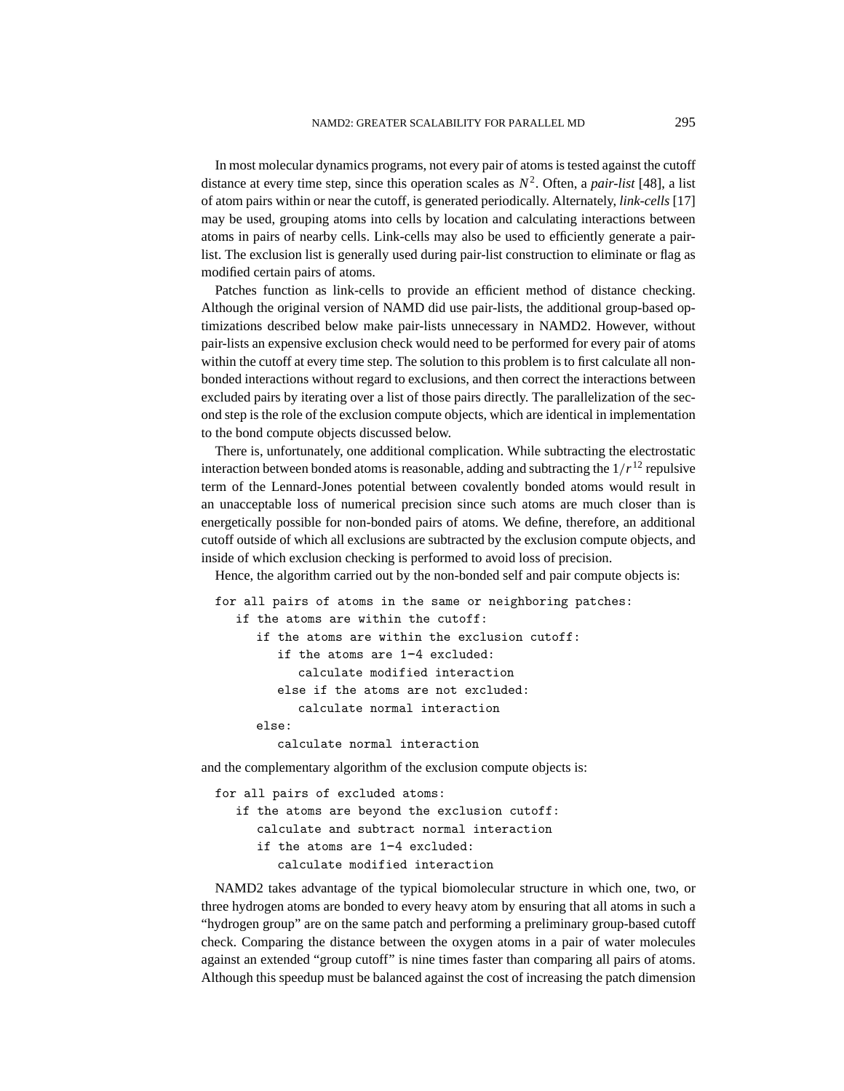In most molecular dynamics programs, not every pair of atoms is tested against the cutoff distance at every time step, since this operation scales as  $N^2$ . Often, a *pair-list* [48], a list of atom pairs within or near the cutoff, is generated periodically. Alternately, *link-cells* [17] may be used, grouping atoms into cells by location and calculating interactions between atoms in pairs of nearby cells. Link-cells may also be used to efficiently generate a pairlist. The exclusion list is generally used during pair-list construction to eliminate or flag as modified certain pairs of atoms.

Patches function as link-cells to provide an efficient method of distance checking. Although the original version of NAMD did use pair-lists, the additional group-based optimizations described below make pair-lists unnecessary in NAMD2. However, without pair-lists an expensive exclusion check would need to be performed for every pair of atoms within the cutoff at every time step. The solution to this problem is to first calculate all nonbonded interactions without regard to exclusions, and then correct the interactions between excluded pairs by iterating over a list of those pairs directly. The parallelization of the second step is the role of the exclusion compute objects, which are identical in implementation to the bond compute objects discussed below.

There is, unfortunately, one additional complication. While subtracting the electrostatic interaction between bonded atoms is reasonable, adding and subtracting the  $1/r^{12}$  repulsive term of the Lennard-Jones potential between covalently bonded atoms would result in an unacceptable loss of numerical precision since such atoms are much closer than is energetically possible for non-bonded pairs of atoms. We define, therefore, an additional cutoff outside of which all exclusions are subtracted by the exclusion compute objects, and inside of which exclusion checking is performed to avoid loss of precision.

Hence, the algorithm carried out by the non-bonded self and pair compute objects is:

```
for all pairs of atoms in the same or neighboring patches:
  if the atoms are within the cutoff:
     if the atoms are within the exclusion cutoff:
        if the atoms are 1-4 excluded:
           calculate modified interaction
        else if the atoms are not excluded:
           calculate normal interaction
     else:
        calculate normal interaction
```
and the complementary algorithm of the exclusion compute objects is:

```
for all pairs of excluded atoms:
   if the atoms are beyond the exclusion cutoff:
      calculate and subtract normal interaction
      if the atoms are 1-4 excluded:
        calculate modified interaction
```
NAMD2 takes advantage of the typical biomolecular structure in which one, two, or three hydrogen atoms are bonded to every heavy atom by ensuring that all atoms in such a "hydrogen group" are on the same patch and performing a preliminary group-based cutoff check. Comparing the distance between the oxygen atoms in a pair of water molecules against an extended "group cutoff" is nine times faster than comparing all pairs of atoms. Although this speedup must be balanced against the cost of increasing the patch dimension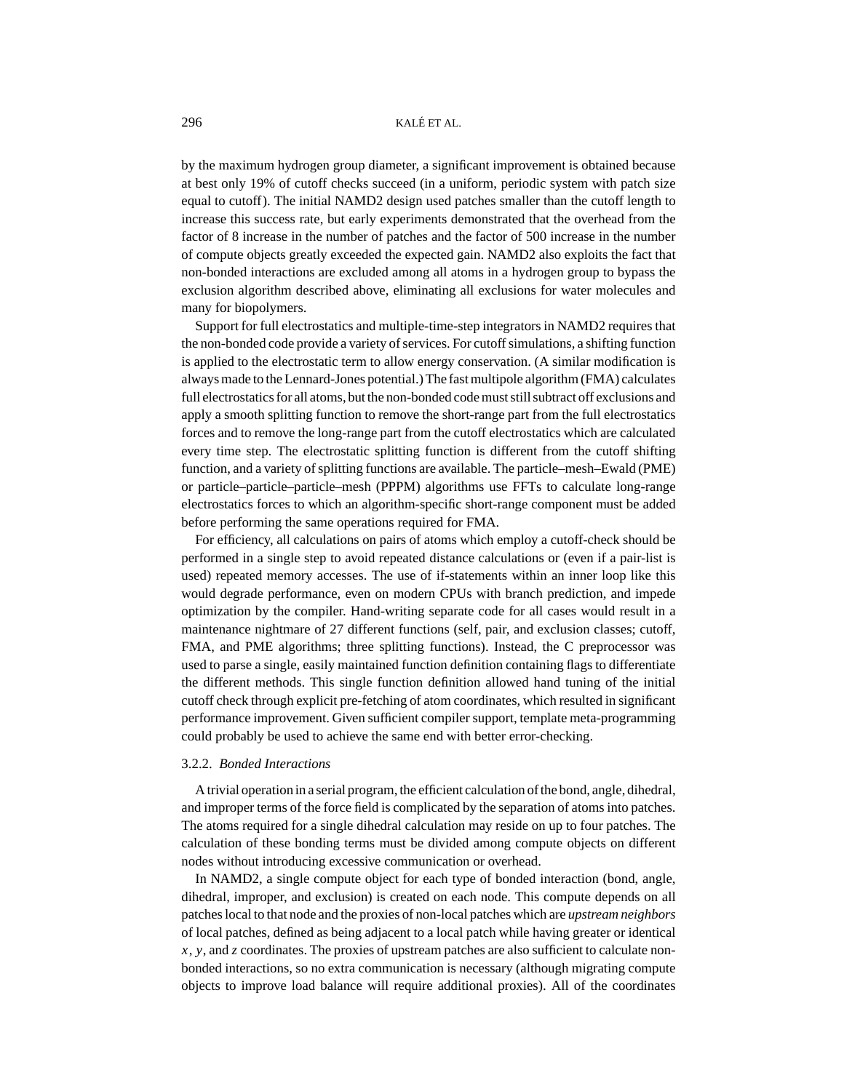by the maximum hydrogen group diameter, a significant improvement is obtained because at best only 19% of cutoff checks succeed (in a uniform, periodic system with patch size equal to cutoff). The initial NAMD2 design used patches smaller than the cutoff length to increase this success rate, but early experiments demonstrated that the overhead from the factor of 8 increase in the number of patches and the factor of 500 increase in the number of compute objects greatly exceeded the expected gain. NAMD2 also exploits the fact that non-bonded interactions are excluded among all atoms in a hydrogen group to bypass the exclusion algorithm described above, eliminating all exclusions for water molecules and many for biopolymers.

Support for full electrostatics and multiple-time-step integrators in NAMD2 requires that the non-bonded code provide a variety of services. For cutoff simulations, a shifting function is applied to the electrostatic term to allow energy conservation. (A similar modification is always made to the Lennard-Jones potential.) The fast multipole algorithm (FMA) calculates full electrostatics for all atoms, but the non-bonded code must still subtract off exclusions and apply a smooth splitting function to remove the short-range part from the full electrostatics forces and to remove the long-range part from the cutoff electrostatics which are calculated every time step. The electrostatic splitting function is different from the cutoff shifting function, and a variety of splitting functions are available. The particle–mesh–Ewald (PME) or particle–particle–particle–mesh (PPPM) algorithms use FFTs to calculate long-range electrostatics forces to which an algorithm-specific short-range component must be added before performing the same operations required for FMA.

For efficiency, all calculations on pairs of atoms which employ a cutoff-check should be performed in a single step to avoid repeated distance calculations or (even if a pair-list is used) repeated memory accesses. The use of if-statements within an inner loop like this would degrade performance, even on modern CPUs with branch prediction, and impede optimization by the compiler. Hand-writing separate code for all cases would result in a maintenance nightmare of 27 different functions (self, pair, and exclusion classes; cutoff, FMA, and PME algorithms; three splitting functions). Instead, the C preprocessor was used to parse a single, easily maintained function definition containing flags to differentiate the different methods. This single function definition allowed hand tuning of the initial cutoff check through explicit pre-fetching of atom coordinates, which resulted in significant performance improvement. Given sufficient compiler support, template meta-programming could probably be used to achieve the same end with better error-checking.

## 3.2.2. *Bonded Interactions*

A trivial operation in a serial program, the efficient calculation of the bond, angle, dihedral, and improper terms of the force field is complicated by the separation of atoms into patches. The atoms required for a single dihedral calculation may reside on up to four patches. The calculation of these bonding terms must be divided among compute objects on different nodes without introducing excessive communication or overhead.

In NAMD2, a single compute object for each type of bonded interaction (bond, angle, dihedral, improper, and exclusion) is created on each node. This compute depends on all patches local to that node and the proxies of non-local patches which are *upstream neighbors* of local patches, defined as being adjacent to a local patch while having greater or identical *x*, *y*, and *z* coordinates. The proxies of upstream patches are also sufficient to calculate nonbonded interactions, so no extra communication is necessary (although migrating compute objects to improve load balance will require additional proxies). All of the coordinates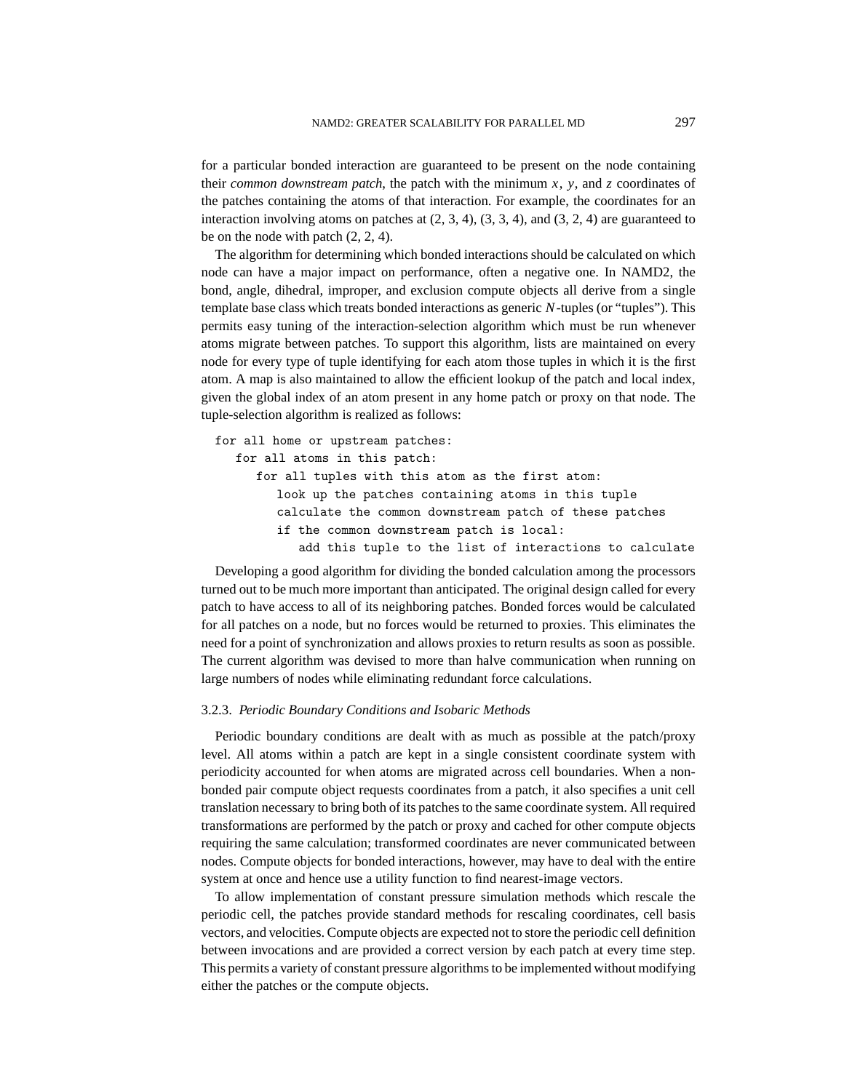for a particular bonded interaction are guaranteed to be present on the node containing their *common downstream patch*, the patch with the minimum *x*, *y*, and *z* coordinates of the patches containing the atoms of that interaction. For example, the coordinates for an interaction involving atoms on patches at  $(2, 3, 4)$ ,  $(3, 3, 4)$ , and  $(3, 2, 4)$  are guaranteed to be on the node with patch (2, 2, 4).

The algorithm for determining which bonded interactions should be calculated on which node can have a major impact on performance, often a negative one. In NAMD2, the bond, angle, dihedral, improper, and exclusion compute objects all derive from a single template base class which treats bonded interactions as generic *N*-tuples (or "tuples"). This permits easy tuning of the interaction-selection algorithm which must be run whenever atoms migrate between patches. To support this algorithm, lists are maintained on every node for every type of tuple identifying for each atom those tuples in which it is the first atom. A map is also maintained to allow the efficient lookup of the patch and local index, given the global index of an atom present in any home patch or proxy on that node. The tuple-selection algorithm is realized as follows:

```
for all home or upstream patches:
  for all atoms in this patch:
     for all tuples with this atom as the first atom:
        look up the patches containing atoms in this tuple
        calculate the common downstream patch of these patches
        if the common downstream patch is local:
           add this tuple to the list of interactions to calculate
```
Developing a good algorithm for dividing the bonded calculation among the processors turned out to be much more important than anticipated. The original design called for every patch to have access to all of its neighboring patches. Bonded forces would be calculated for all patches on a node, but no forces would be returned to proxies. This eliminates the need for a point of synchronization and allows proxies to return results as soon as possible. The current algorithm was devised to more than halve communication when running on large numbers of nodes while eliminating redundant force calculations.

## 3.2.3. *Periodic Boundary Conditions and Isobaric Methods*

Periodic boundary conditions are dealt with as much as possible at the patch/proxy level. All atoms within a patch are kept in a single consistent coordinate system with periodicity accounted for when atoms are migrated across cell boundaries. When a nonbonded pair compute object requests coordinates from a patch, it also specifies a unit cell translation necessary to bring both of its patches to the same coordinate system. All required transformations are performed by the patch or proxy and cached for other compute objects requiring the same calculation; transformed coordinates are never communicated between nodes. Compute objects for bonded interactions, however, may have to deal with the entire system at once and hence use a utility function to find nearest-image vectors.

To allow implementation of constant pressure simulation methods which rescale the periodic cell, the patches provide standard methods for rescaling coordinates, cell basis vectors, and velocities. Compute objects are expected not to store the periodic cell definition between invocations and are provided a correct version by each patch at every time step. This permits a variety of constant pressure algorithms to be implemented without modifying either the patches or the compute objects.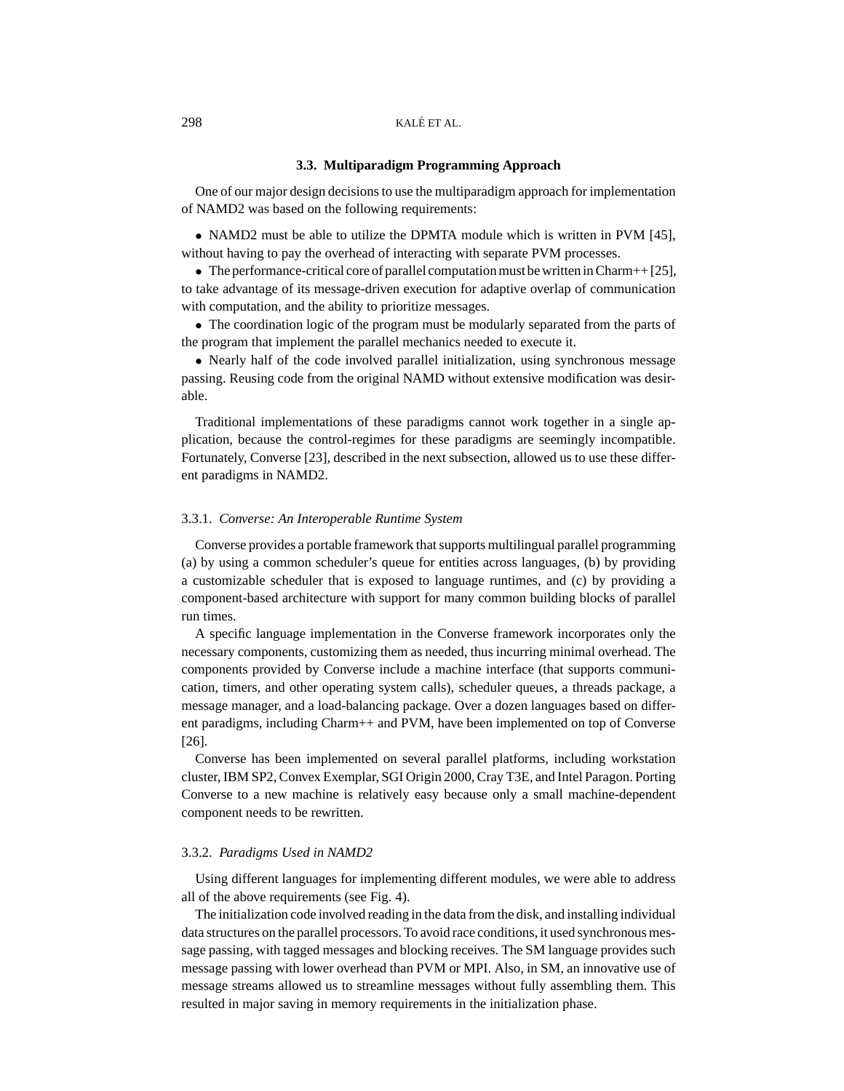## **3.3. Multiparadigm Programming Approach**

One of our major design decisions to use the multiparadigm approach for implementation of NAMD2 was based on the following requirements:

• NAMD2 must be able to utilize the DPMTA module which is written in PVM [45], without having to pay the overhead of interacting with separate PVM processes.

• The performance-critical core of parallel computation must be written in Charm $++$  [25], to take advantage of its message-driven execution for adaptive overlap of communication with computation, and the ability to prioritize messages.

• The coordination logic of the program must be modularly separated from the parts of the program that implement the parallel mechanics needed to execute it.

• Nearly half of the code involved parallel initialization, using synchronous message passing. Reusing code from the original NAMD without extensive modification was desirable.

Traditional implementations of these paradigms cannot work together in a single application, because the control-regimes for these paradigms are seemingly incompatible. Fortunately, Converse [23], described in the next subsection, allowed us to use these different paradigms in NAMD2.

# 3.3.1. *Converse: An Interoperable Runtime System*

Converse provides a portable framework that supports multilingual parallel programming (a) by using a common scheduler's queue for entities across languages, (b) by providing a customizable scheduler that is exposed to language runtimes, and (c) by providing a component-based architecture with support for many common building blocks of parallel run times.

A specific language implementation in the Converse framework incorporates only the necessary components, customizing them as needed, thus incurring minimal overhead. The components provided by Converse include a machine interface (that supports communication, timers, and other operating system calls), scheduler queues, a threads package, a message manager, and a load-balancing package. Over a dozen languages based on different paradigms, including Charm++ and PVM, have been implemented on top of Converse [26].

Converse has been implemented on several parallel platforms, including workstation cluster, IBM SP2, Convex Exemplar, SGI Origin 2000, Cray T3E, and Intel Paragon. Porting Converse to a new machine is relatively easy because only a small machine-dependent component needs to be rewritten.

#### 3.3.2. *Paradigms Used in NAMD2*

Using different languages for implementing different modules, we were able to address all of the above requirements (see Fig. 4).

The initialization code involved reading in the data from the disk, and installing individual data structures on the parallel processors. To avoid race conditions, it used synchronous message passing, with tagged messages and blocking receives. The SM language provides such message passing with lower overhead than PVM or MPI. Also, in SM, an innovative use of message streams allowed us to streamline messages without fully assembling them. This resulted in major saving in memory requirements in the initialization phase.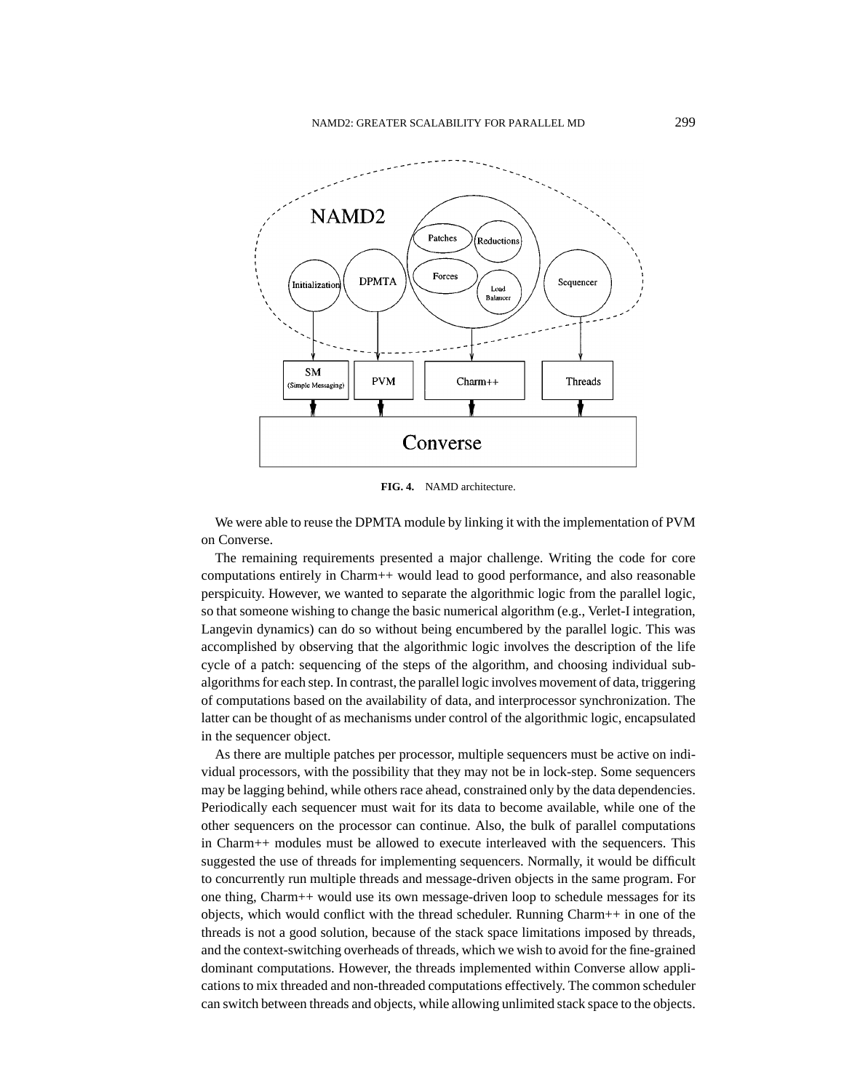

**FIG. 4.** NAMD architecture.

We were able to reuse the DPMTA module by linking it with the implementation of PVM on Converse.

The remaining requirements presented a major challenge. Writing the code for core computations entirely in Charm++ would lead to good performance, and also reasonable perspicuity. However, we wanted to separate the algorithmic logic from the parallel logic, so that someone wishing to change the basic numerical algorithm (e.g., Verlet-I integration, Langevin dynamics) can do so without being encumbered by the parallel logic. This was accomplished by observing that the algorithmic logic involves the description of the life cycle of a patch: sequencing of the steps of the algorithm, and choosing individual subalgorithms for each step. In contrast, the parallel logic involves movement of data, triggering of computations based on the availability of data, and interprocessor synchronization. The latter can be thought of as mechanisms under control of the algorithmic logic, encapsulated in the sequencer object.

As there are multiple patches per processor, multiple sequencers must be active on individual processors, with the possibility that they may not be in lock-step. Some sequencers may be lagging behind, while others race ahead, constrained only by the data dependencies. Periodically each sequencer must wait for its data to become available, while one of the other sequencers on the processor can continue. Also, the bulk of parallel computations in Charm++ modules must be allowed to execute interleaved with the sequencers. This suggested the use of threads for implementing sequencers. Normally, it would be difficult to concurrently run multiple threads and message-driven objects in the same program. For one thing, Charm++ would use its own message-driven loop to schedule messages for its objects, which would conflict with the thread scheduler. Running Charm++ in one of the threads is not a good solution, because of the stack space limitations imposed by threads, and the context-switching overheads of threads, which we wish to avoid for the fine-grained dominant computations. However, the threads implemented within Converse allow applications to mix threaded and non-threaded computations effectively. The common scheduler can switch between threads and objects, while allowing unlimited stack space to the objects.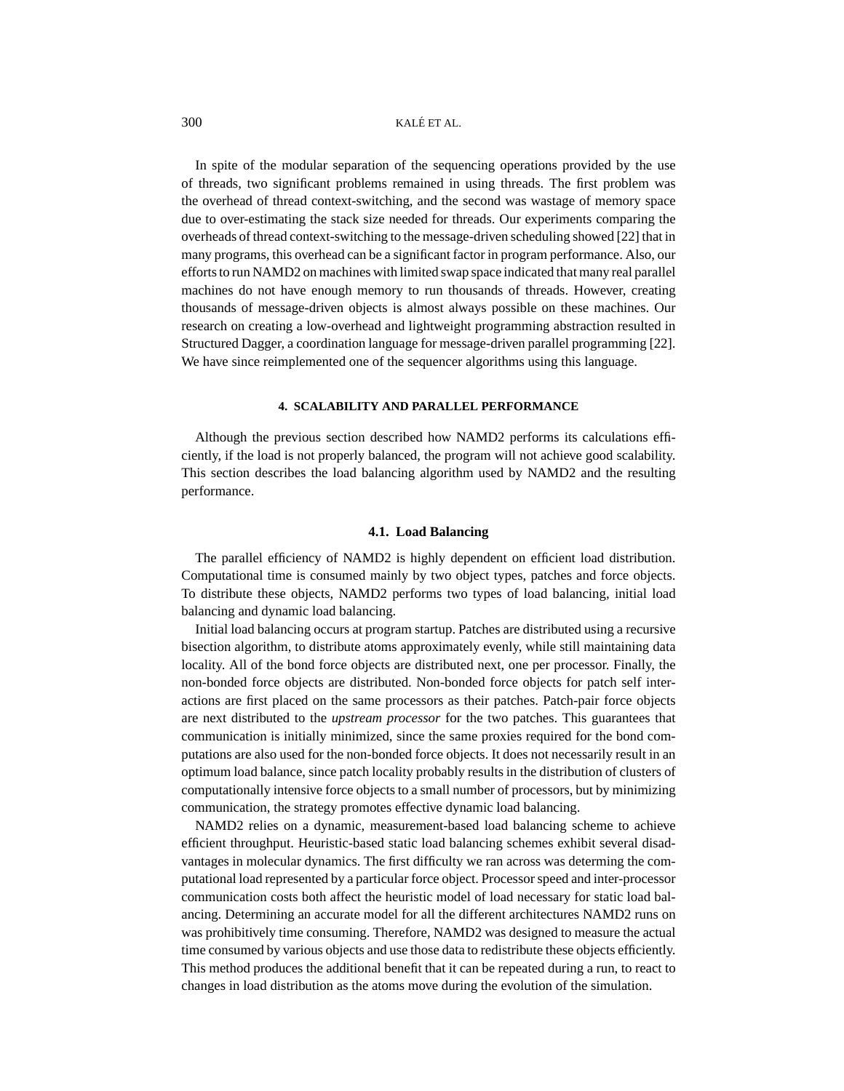In spite of the modular separation of the sequencing operations provided by the use of threads, two significant problems remained in using threads. The first problem was the overhead of thread context-switching, and the second was wastage of memory space due to over-estimating the stack size needed for threads. Our experiments comparing the overheads of thread context-switching to the message-driven scheduling showed [22] that in many programs, this overhead can be a significant factor in program performance. Also, our efforts to run NAMD2 on machines with limited swap space indicated that many real parallel machines do not have enough memory to run thousands of threads. However, creating thousands of message-driven objects is almost always possible on these machines. Our research on creating a low-overhead and lightweight programming abstraction resulted in Structured Dagger, a coordination language for message-driven parallel programming [22]. We have since reimplemented one of the sequencer algorithms using this language.

#### **4. SCALABILITY AND PARALLEL PERFORMANCE**

Although the previous section described how NAMD2 performs its calculations efficiently, if the load is not properly balanced, the program will not achieve good scalability. This section describes the load balancing algorithm used by NAMD2 and the resulting performance.

## **4.1. Load Balancing**

The parallel efficiency of NAMD2 is highly dependent on efficient load distribution. Computational time is consumed mainly by two object types, patches and force objects. To distribute these objects, NAMD2 performs two types of load balancing, initial load balancing and dynamic load balancing.

Initial load balancing occurs at program startup. Patches are distributed using a recursive bisection algorithm, to distribute atoms approximately evenly, while still maintaining data locality. All of the bond force objects are distributed next, one per processor. Finally, the non-bonded force objects are distributed. Non-bonded force objects for patch self interactions are first placed on the same processors as their patches. Patch-pair force objects are next distributed to the *upstream processor* for the two patches. This guarantees that communication is initially minimized, since the same proxies required for the bond computations are also used for the non-bonded force objects. It does not necessarily result in an optimum load balance, since patch locality probably results in the distribution of clusters of computationally intensive force objects to a small number of processors, but by minimizing communication, the strategy promotes effective dynamic load balancing.

NAMD2 relies on a dynamic, measurement-based load balancing scheme to achieve efficient throughput. Heuristic-based static load balancing schemes exhibit several disadvantages in molecular dynamics. The first difficulty we ran across was determing the computational load represented by a particular force object. Processor speed and inter-processor communication costs both affect the heuristic model of load necessary for static load balancing. Determining an accurate model for all the different architectures NAMD2 runs on was prohibitively time consuming. Therefore, NAMD2 was designed to measure the actual time consumed by various objects and use those data to redistribute these objects efficiently. This method produces the additional benefit that it can be repeated during a run, to react to changes in load distribution as the atoms move during the evolution of the simulation.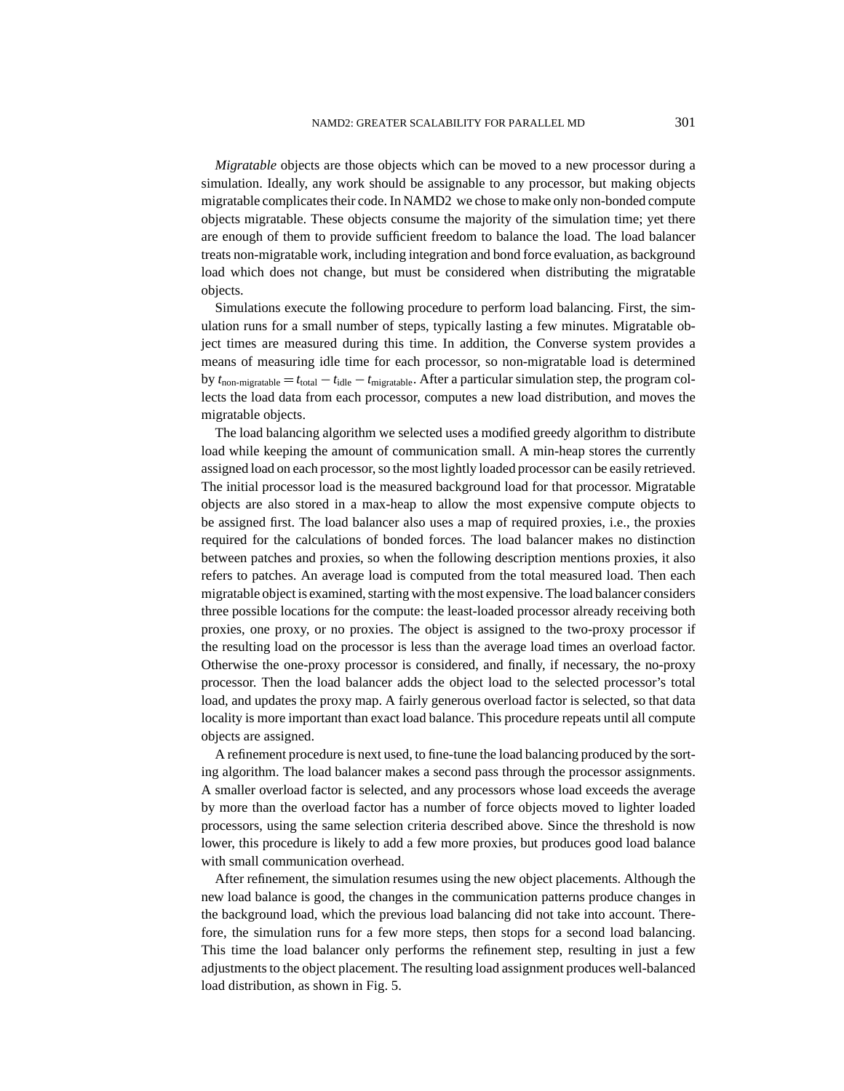*Migratable* objects are those objects which can be moved to a new processor during a simulation. Ideally, any work should be assignable to any processor, but making objects migratable complicates their code. In NAMD2 we chose to make only non-bonded compute objects migratable. These objects consume the majority of the simulation time; yet there are enough of them to provide sufficient freedom to balance the load. The load balancer treats non-migratable work, including integration and bond force evaluation, as background load which does not change, but must be considered when distributing the migratable objects.

Simulations execute the following procedure to perform load balancing. First, the simulation runs for a small number of steps, typically lasting a few minutes. Migratable object times are measured during this time. In addition, the Converse system provides a means of measuring idle time for each processor, so non-migratable load is determined by  $t_{\text{non-migratable}} = t_{\text{total}} - t_{\text{idle}} - t_{\text{migratable}}$ . After a particular simulation step, the program collects the load data from each processor, computes a new load distribution, and moves the migratable objects.

The load balancing algorithm we selected uses a modified greedy algorithm to distribute load while keeping the amount of communication small. A min-heap stores the currently assigned load on each processor, so the most lightly loaded processor can be easily retrieved. The initial processor load is the measured background load for that processor. Migratable objects are also stored in a max-heap to allow the most expensive compute objects to be assigned first. The load balancer also uses a map of required proxies, i.e., the proxies required for the calculations of bonded forces. The load balancer makes no distinction between patches and proxies, so when the following description mentions proxies, it also refers to patches. An average load is computed from the total measured load. Then each migratable object is examined, starting with the most expensive. The load balancer considers three possible locations for the compute: the least-loaded processor already receiving both proxies, one proxy, or no proxies. The object is assigned to the two-proxy processor if the resulting load on the processor is less than the average load times an overload factor. Otherwise the one-proxy processor is considered, and finally, if necessary, the no-proxy processor. Then the load balancer adds the object load to the selected processor's total load, and updates the proxy map. A fairly generous overload factor is selected, so that data locality is more important than exact load balance. This procedure repeats until all compute objects are assigned.

A refinement procedure is next used, to fine-tune the load balancing produced by the sorting algorithm. The load balancer makes a second pass through the processor assignments. A smaller overload factor is selected, and any processors whose load exceeds the average by more than the overload factor has a number of force objects moved to lighter loaded processors, using the same selection criteria described above. Since the threshold is now lower, this procedure is likely to add a few more proxies, but produces good load balance with small communication overhead.

After refinement, the simulation resumes using the new object placements. Although the new load balance is good, the changes in the communication patterns produce changes in the background load, which the previous load balancing did not take into account. Therefore, the simulation runs for a few more steps, then stops for a second load balancing. This time the load balancer only performs the refinement step, resulting in just a few adjustments to the object placement. The resulting load assignment produces well-balanced load distribution, as shown in Fig. 5.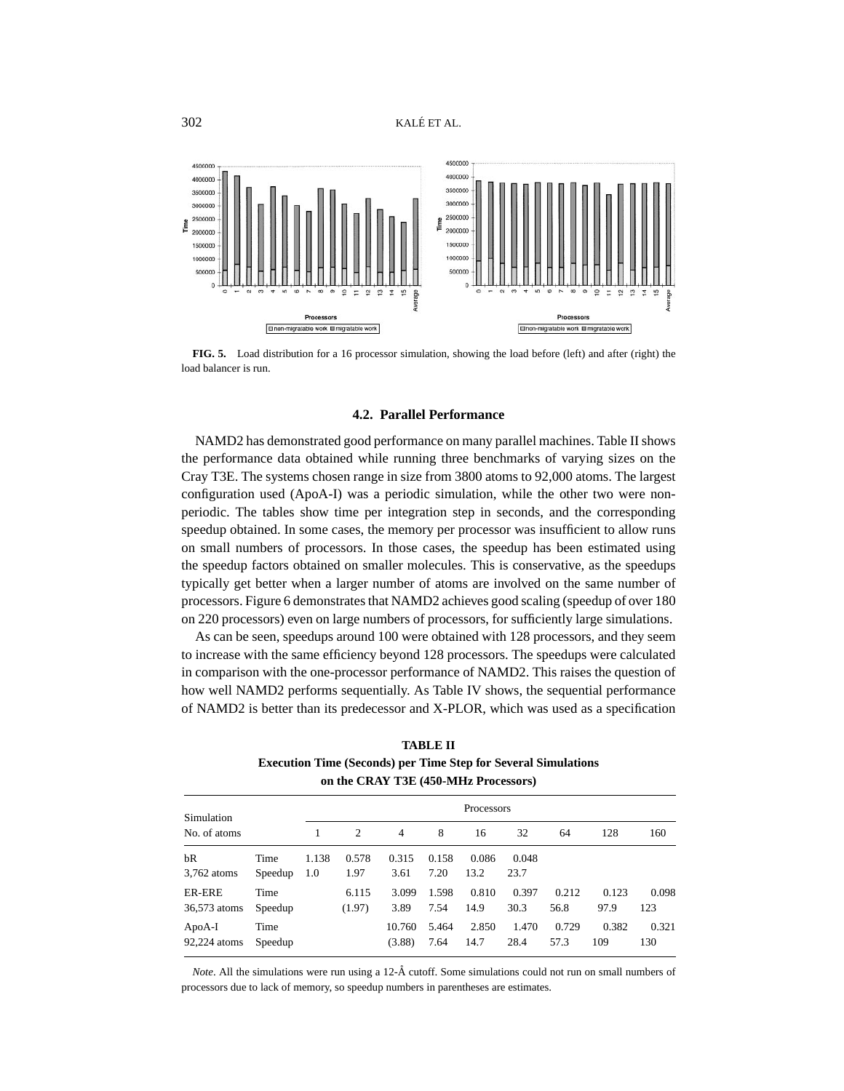

**FIG. 5.** Load distribution for a 16 processor simulation, showing the load before (left) and after (right) the load balancer is run.

#### **4.2. Parallel Performance**

NAMD2 has demonstrated good performance on many parallel machines. Table II shows the performance data obtained while running three benchmarks of varying sizes on the Cray T3E. The systems chosen range in size from 3800 atoms to 92,000 atoms. The largest configuration used (ApoA-I) was a periodic simulation, while the other two were nonperiodic. The tables show time per integration step in seconds, and the corresponding speedup obtained. In some cases, the memory per processor was insufficient to allow runs on small numbers of processors. In those cases, the speedup has been estimated using the speedup factors obtained on smaller molecules. This is conservative, as the speedups typically get better when a larger number of atoms are involved on the same number of processors. Figure 6 demonstrates that NAMD2 achieves good scaling (speedup of over 180 on 220 processors) even on large numbers of processors, for sufficiently large simulations.

As can be seen, speedups around 100 were obtained with 128 processors, and they seem to increase with the same efficiency beyond 128 processors. The speedups were calculated in comparison with the one-processor performance of NAMD2. This raises the question of how well NAMD2 performs sequentially. As Table IV shows, the sequential performance of NAMD2 is better than its predecessor and X-PLOR, which was used as a specification

| Simulation<br>No. of atoms    |                 |              | Processors      |                  |               |               |               |               |               |              |  |
|-------------------------------|-----------------|--------------|-----------------|------------------|---------------|---------------|---------------|---------------|---------------|--------------|--|
|                               |                 |              | 2               | 4                | 8             | 16            | 32            | 64            | 128           | 160          |  |
| bR<br>$3,762$ atoms           | Time<br>Speedup | 1.138<br>1.0 | 0.578<br>1.97   | 0.315<br>3.61    | 0.158<br>7.20 | 0.086<br>13.2 | 0.048<br>23.7 |               |               |              |  |
| <b>ER-ERE</b><br>36,573 atoms | Time<br>Speedup |              | 6.115<br>(1.97) | 3.099<br>3.89    | 1.598<br>7.54 | 0.810<br>14.9 | 0.397<br>30.3 | 0.212<br>56.8 | 0.123<br>97.9 | 0.098<br>123 |  |
| $ApoA-I$<br>92,224 atoms      | Time<br>Speedup |              |                 | 10.760<br>(3.88) | 5.464<br>7.64 | 2.850<br>14.7 | 1.470<br>28.4 | 0.729<br>57.3 | 0.382<br>109  | 0.321<br>130 |  |

**TABLE II Execution Time (Seconds) per Time Step for Several Simulations on the CRAY T3E (450-MHz Processors)**

*Note*. All the simulations were run using a 12-Å cutoff. Some simulations could not run on small numbers of processors due to lack of memory, so speedup numbers in parentheses are estimates.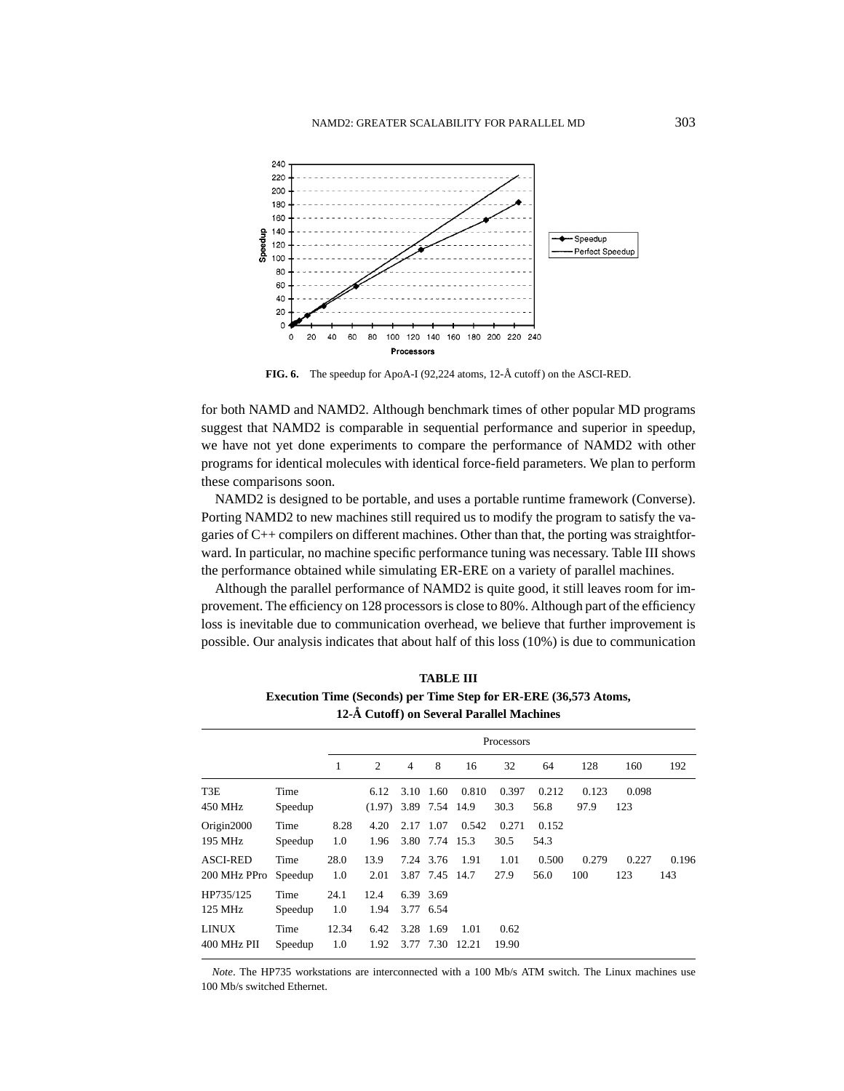

**FIG. 6.** The speedup for ApoA-I (92,224 atoms, 12-Å cutoff) on the ASCI-RED.

for both NAMD and NAMD2. Although benchmark times of other popular MD programs suggest that NAMD2 is comparable in sequential performance and superior in speedup, we have not yet done experiments to compare the performance of NAMD2 with other programs for identical molecules with identical force-field parameters. We plan to perform these comparisons soon.

NAMD2 is designed to be portable, and uses a portable runtime framework (Converse). Porting NAMD2 to new machines still required us to modify the program to satisfy the vagaries of  $C_{++}$  compilers on different machines. Other than that, the porting was straightforward. In particular, no machine specific performance tuning was necessary. Table III shows the performance obtained while simulating ER-ERE on a variety of parallel machines.

Although the parallel performance of NAMD2 is quite good, it still leaves room for improvement. The efficiency on 128 processors is close to 80%. Although part of the efficiency loss is inevitable due to communication overhead, we believe that further improvement is possible. Our analysis indicates that about half of this loss (10%) is due to communication

|                                 | 12-A Cuton) on several I alance machines |              |                |                |                             |               |               |               |               |              |              |
|---------------------------------|------------------------------------------|--------------|----------------|----------------|-----------------------------|---------------|---------------|---------------|---------------|--------------|--------------|
|                                 |                                          | Processors   |                |                |                             |               |               |               |               |              |              |
|                                 |                                          | 1            | 2              | $\overline{4}$ | 8                           | 16            | 32            | 64            | 128           | 160          | 192          |
| T3E<br>450 MHz                  | Time<br>Speedup                          |              | 6.12<br>(1.97) |                | 3.10 1.60<br>3.89 7.54 14.9 | 0.810         | 0.397<br>30.3 | 0.212<br>56.8 | 0.123<br>97.9 | 0.098<br>123 |              |
| Origin2000<br>195 MHz           | Time<br>Speedup                          | 8.28<br>1.0  | 4.20<br>1.96   | 2.17 1.07      | 3.80 7.74                   | 0.542<br>15.3 | 0.271<br>30.5 | 0.152<br>54.3 |               |              |              |
| <b>ASCI-RED</b><br>200 MHz PPro | Time<br>Speedup                          | 28.0<br>1.0  | 13.9<br>2.01   |                | 7.24 3.76<br>3.87 7.45 14.7 | 1.91          | 1.01<br>27.9  | 0.500<br>56.0 | 0.279<br>100  | 0.227<br>123 | 0.196<br>143 |
| HP735/125<br>125 MHz            | Time<br>Speedup                          | 24.1<br>1.0  | 12.4<br>1.94   | 3.77 6.54      | 6.39 3.69                   |               |               |               |               |              |              |
| <b>LINUX</b><br>400 MHz PII     | Time<br>Speedup                          | 12.34<br>1.0 | 6.42<br>1.92   | 3.28 1.69      | 3.77 7.30                   | 1.01<br>12.21 | 0.62<br>19.90 |               |               |              |              |

**TABLE III Execution Time (Seconds) per Time Step for ER-ERE (36,573 Atoms, 12-A Cutoff) on Several Parallel Machines ˚**

*Note*. The HP735 workstations are interconnected with a 100 Mb/s ATM switch. The Linux machines use 100 Mb/s switched Ethernet.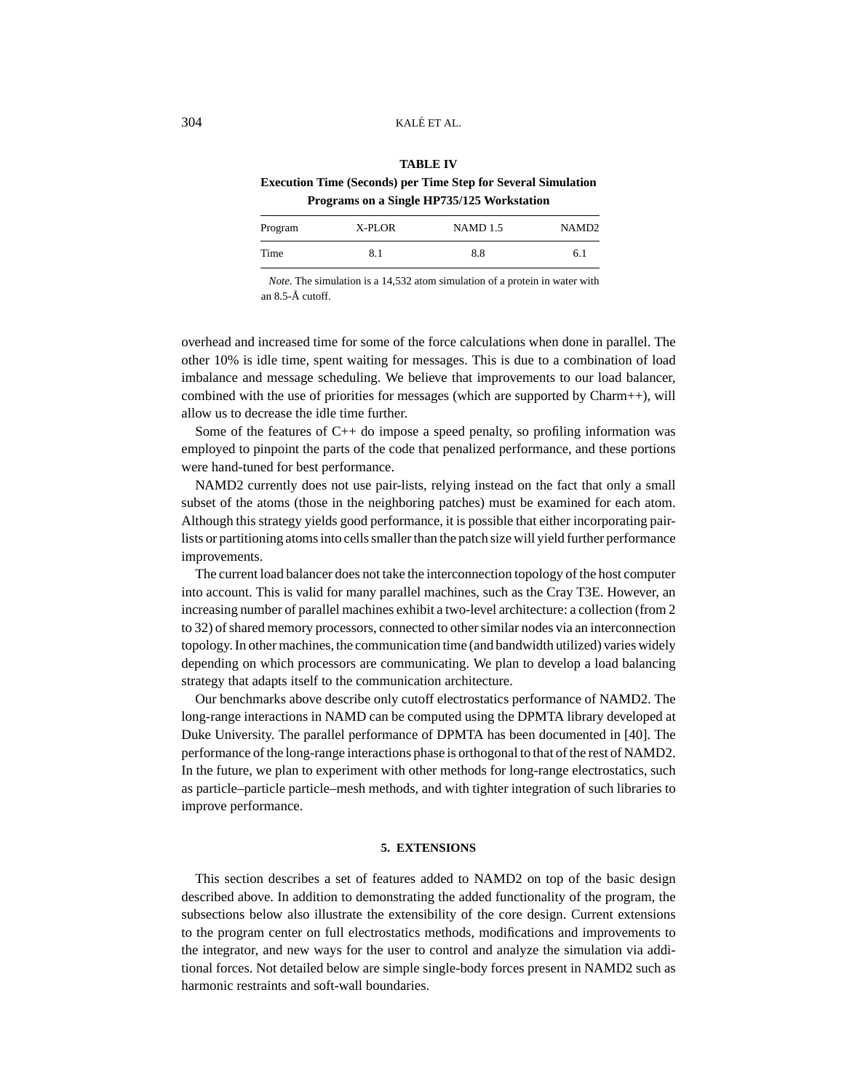#### **TABLE IV**

| Program | X-PLOR | NAMD 1.5 | NAMD <sub>2</sub> |
|---------|--------|----------|-------------------|
| Time    | 8.1    | 8.8      | 6.1               |

**Execution Time (Seconds) per Time Step for Several Simulation Programs on a Single HP735/125 Workstation**

*Note*. The simulation is a 14,532 atom simulation of a protein in water with an  $8.5-\text{\AA}$  cutoff.

overhead and increased time for some of the force calculations when done in parallel. The other 10% is idle time, spent waiting for messages. This is due to a combination of load imbalance and message scheduling. We believe that improvements to our load balancer, combined with the use of priorities for messages (which are supported by Charm++), will allow us to decrease the idle time further.

Some of the features of  $C++$  do impose a speed penalty, so profiling information was employed to pinpoint the parts of the code that penalized performance, and these portions were hand-tuned for best performance.

NAMD2 currently does not use pair-lists, relying instead on the fact that only a small subset of the atoms (those in the neighboring patches) must be examined for each atom. Although this strategy yields good performance, it is possible that either incorporating pairlists or partitioning atoms into cells smaller than the patch size will yield further performance improvements.

The current load balancer does not take the interconnection topology of the host computer into account. This is valid for many parallel machines, such as the Cray T3E. However, an increasing number of parallel machines exhibit a two-level architecture: a collection (from 2 to 32) of shared memory processors, connected to other similar nodes via an interconnection topology. In other machines, the communication time (and bandwidth utilized) varies widely depending on which processors are communicating. We plan to develop a load balancing strategy that adapts itself to the communication architecture.

Our benchmarks above describe only cutoff electrostatics performance of NAMD2. The long-range interactions in NAMD can be computed using the DPMTA library developed at Duke University. The parallel performance of DPMTA has been documented in [40]. The performance of the long-range interactions phase is orthogonal to that of the rest of NAMD2. In the future, we plan to experiment with other methods for long-range electrostatics, such as particle–particle particle–mesh methods, and with tighter integration of such libraries to improve performance.

#### **5. EXTENSIONS**

This section describes a set of features added to NAMD2 on top of the basic design described above. In addition to demonstrating the added functionality of the program, the subsections below also illustrate the extensibility of the core design. Current extensions to the program center on full electrostatics methods, modifications and improvements to the integrator, and new ways for the user to control and analyze the simulation via additional forces. Not detailed below are simple single-body forces present in NAMD2 such as harmonic restraints and soft-wall boundaries.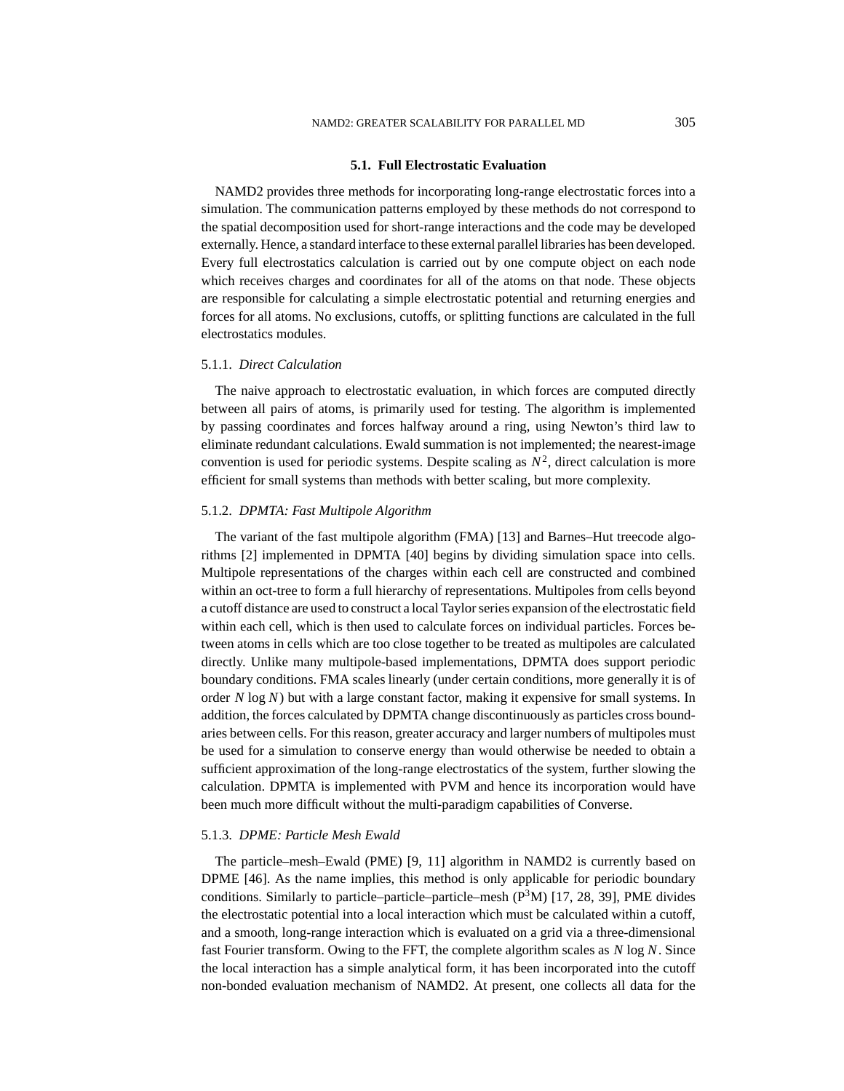#### **5.1. Full Electrostatic Evaluation**

NAMD2 provides three methods for incorporating long-range electrostatic forces into a simulation. The communication patterns employed by these methods do not correspond to the spatial decomposition used for short-range interactions and the code may be developed externally. Hence, a standard interface to these external parallel libraries has been developed. Every full electrostatics calculation is carried out by one compute object on each node which receives charges and coordinates for all of the atoms on that node. These objects are responsible for calculating a simple electrostatic potential and returning energies and forces for all atoms. No exclusions, cutoffs, or splitting functions are calculated in the full electrostatics modules.

#### 5.1.1. *Direct Calculation*

The naive approach to electrostatic evaluation, in which forces are computed directly between all pairs of atoms, is primarily used for testing. The algorithm is implemented by passing coordinates and forces halfway around a ring, using Newton's third law to eliminate redundant calculations. Ewald summation is not implemented; the nearest-image convention is used for periodic systems. Despite scaling as  $N^2$ , direct calculation is more efficient for small systems than methods with better scaling, but more complexity.

#### 5.1.2. *DPMTA: Fast Multipole Algorithm*

The variant of the fast multipole algorithm (FMA) [13] and Barnes–Hut treecode algorithms [2] implemented in DPMTA [40] begins by dividing simulation space into cells. Multipole representations of the charges within each cell are constructed and combined within an oct-tree to form a full hierarchy of representations. Multipoles from cells beyond a cutoff distance are used to construct a local Taylor series expansion of the electrostatic field within each cell, which is then used to calculate forces on individual particles. Forces between atoms in cells which are too close together to be treated as multipoles are calculated directly. Unlike many multipole-based implementations, DPMTA does support periodic boundary conditions. FMA scales linearly (under certain conditions, more generally it is of order *N* log *N*) but with a large constant factor, making it expensive for small systems. In addition, the forces calculated by DPMTA change discontinuously as particles cross boundaries between cells. For this reason, greater accuracy and larger numbers of multipoles must be used for a simulation to conserve energy than would otherwise be needed to obtain a sufficient approximation of the long-range electrostatics of the system, further slowing the calculation. DPMTA is implemented with PVM and hence its incorporation would have been much more difficult without the multi-paradigm capabilities of Converse.

#### 5.1.3. *DPME: Particle Mesh Ewald*

The particle–mesh–Ewald (PME) [9, 11] algorithm in NAMD2 is currently based on DPME [46]. As the name implies, this method is only applicable for periodic boundary conditions. Similarly to particle–particle–particle–mesh  $(P<sup>3</sup>M)$  [17, 28, 39], PME divides the electrostatic potential into a local interaction which must be calculated within a cutoff, and a smooth, long-range interaction which is evaluated on a grid via a three-dimensional fast Fourier transform. Owing to the FFT, the complete algorithm scales as *N* log *N*. Since the local interaction has a simple analytical form, it has been incorporated into the cutoff non-bonded evaluation mechanism of NAMD2. At present, one collects all data for the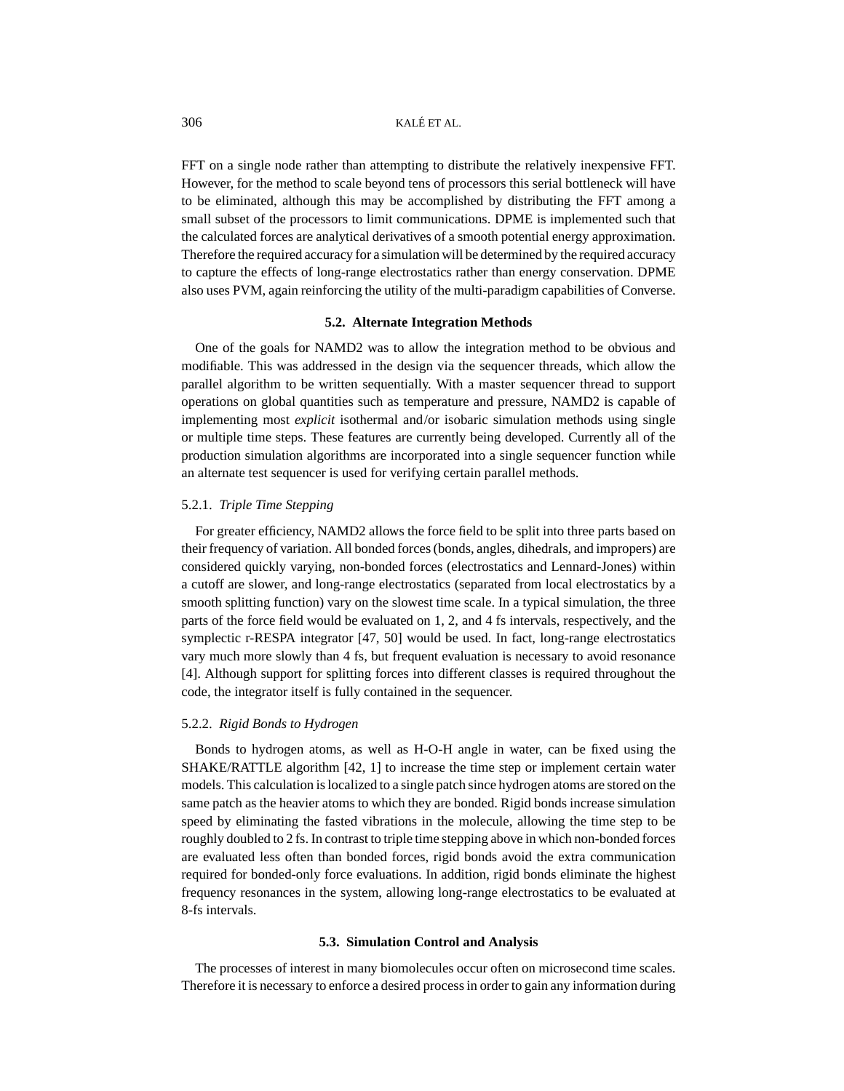FFT on a single node rather than attempting to distribute the relatively inexpensive FFT. However, for the method to scale beyond tens of processors this serial bottleneck will have to be eliminated, although this may be accomplished by distributing the FFT among a small subset of the processors to limit communications. DPME is implemented such that the calculated forces are analytical derivatives of a smooth potential energy approximation. Therefore the required accuracy for a simulation will be determined by the required accuracy to capture the effects of long-range electrostatics rather than energy conservation. DPME also uses PVM, again reinforcing the utility of the multi-paradigm capabilities of Converse.

#### **5.2. Alternate Integration Methods**

One of the goals for NAMD2 was to allow the integration method to be obvious and modifiable. This was addressed in the design via the sequencer threads, which allow the parallel algorithm to be written sequentially. With a master sequencer thread to support operations on global quantities such as temperature and pressure, NAMD2 is capable of implementing most *explicit* isothermal and/or isobaric simulation methods using single or multiple time steps. These features are currently being developed. Currently all of the production simulation algorithms are incorporated into a single sequencer function while an alternate test sequencer is used for verifying certain parallel methods.

#### 5.2.1. *Triple Time Stepping*

For greater efficiency, NAMD2 allows the force field to be split into three parts based on their frequency of variation. All bonded forces (bonds, angles, dihedrals, and impropers) are considered quickly varying, non-bonded forces (electrostatics and Lennard-Jones) within a cutoff are slower, and long-range electrostatics (separated from local electrostatics by a smooth splitting function) vary on the slowest time scale. In a typical simulation, the three parts of the force field would be evaluated on 1, 2, and 4 fs intervals, respectively, and the symplectic r-RESPA integrator [47, 50] would be used. In fact, long-range electrostatics vary much more slowly than 4 fs, but frequent evaluation is necessary to avoid resonance [4]. Although support for splitting forces into different classes is required throughout the code, the integrator itself is fully contained in the sequencer.

#### 5.2.2. *Rigid Bonds to Hydrogen*

Bonds to hydrogen atoms, as well as H-O-H angle in water, can be fixed using the SHAKE/RATTLE algorithm [42, 1] to increase the time step or implement certain water models. This calculation is localized to a single patch since hydrogen atoms are stored on the same patch as the heavier atoms to which they are bonded. Rigid bonds increase simulation speed by eliminating the fasted vibrations in the molecule, allowing the time step to be roughly doubled to 2 fs. In contrast to triple time stepping above in which non-bonded forces are evaluated less often than bonded forces, rigid bonds avoid the extra communication required for bonded-only force evaluations. In addition, rigid bonds eliminate the highest frequency resonances in the system, allowing long-range electrostatics to be evaluated at 8-fs intervals.

#### **5.3. Simulation Control and Analysis**

The processes of interest in many biomolecules occur often on microsecond time scales. Therefore it is necessary to enforce a desired process in order to gain any information during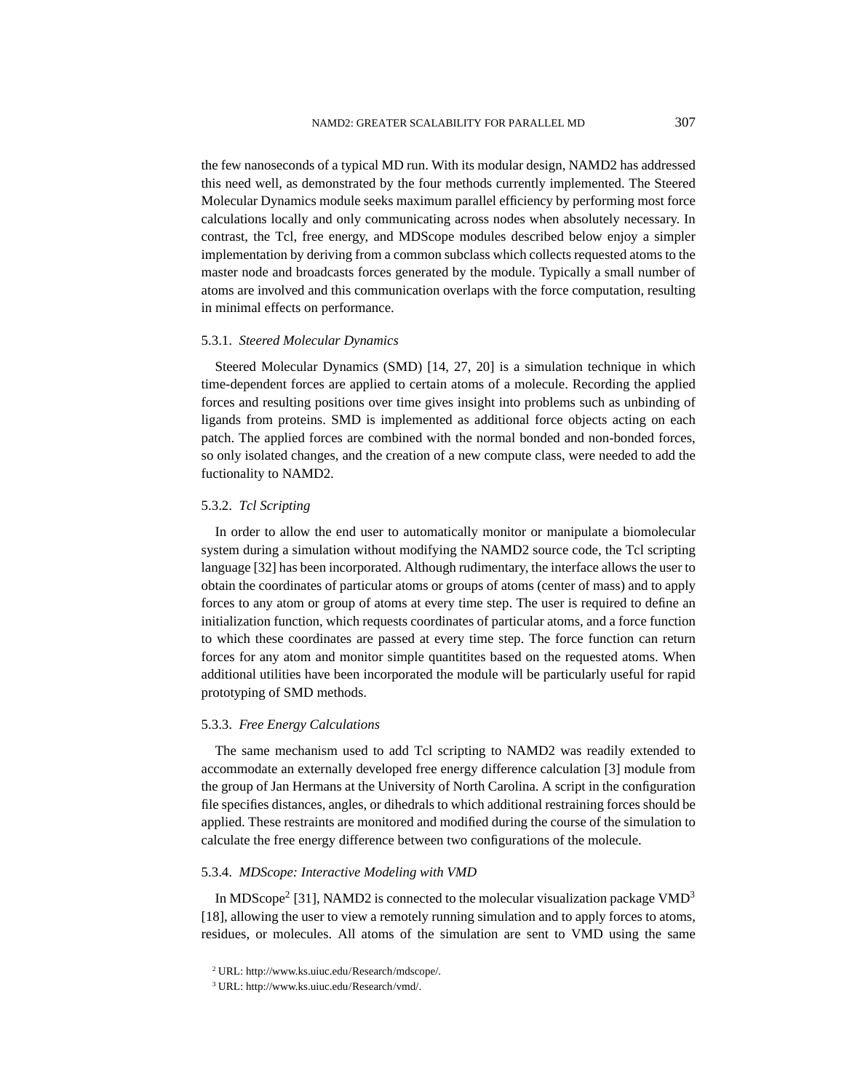the few nanoseconds of a typical MD run. With its modular design, NAMD2 has addressed this need well, as demonstrated by the four methods currently implemented. The Steered Molecular Dynamics module seeks maximum parallel efficiency by performing most force calculations locally and only communicating across nodes when absolutely necessary. In contrast, the Tcl, free energy, and MDScope modules described below enjoy a simpler implementation by deriving from a common subclass which collects requested atoms to the master node and broadcasts forces generated by the module. Typically a small number of atoms are involved and this communication overlaps with the force computation, resulting in minimal effects on performance.

## 5.3.1. *Steered Molecular Dynamics*

Steered Molecular Dynamics (SMD) [14, 27, 20] is a simulation technique in which time-dependent forces are applied to certain atoms of a molecule. Recording the applied forces and resulting positions over time gives insight into problems such as unbinding of ligands from proteins. SMD is implemented as additional force objects acting on each patch. The applied forces are combined with the normal bonded and non-bonded forces, so only isolated changes, and the creation of a new compute class, were needed to add the fuctionality to NAMD2.

# 5.3.2. *Tcl Scripting*

In order to allow the end user to automatically monitor or manipulate a biomolecular system during a simulation without modifying the NAMD2 source code, the Tcl scripting language [32] has been incorporated. Although rudimentary, the interface allows the user to obtain the coordinates of particular atoms or groups of atoms (center of mass) and to apply forces to any atom or group of atoms at every time step. The user is required to define an initialization function, which requests coordinates of particular atoms, and a force function to which these coordinates are passed at every time step. The force function can return forces for any atom and monitor simple quantitites based on the requested atoms. When additional utilities have been incorporated the module will be particularly useful for rapid prototyping of SMD methods.

#### 5.3.3. *Free Energy Calculations*

The same mechanism used to add Tcl scripting to NAMD2 was readily extended to accommodate an externally developed free energy difference calculation [3] module from the group of Jan Hermans at the University of North Carolina. A script in the configuration file specifies distances, angles, or dihedrals to which additional restraining forces should be applied. These restraints are monitored and modified during the course of the simulation to calculate the free energy difference between two configurations of the molecule.

## 5.3.4. *MDScope: Interactive Modeling with VMD*

In MDScope<sup>2</sup> [31], NAMD2 is connected to the molecular visualization package  $VMD<sup>3</sup>$ [18], allowing the user to view a remotely running simulation and to apply forces to atoms, residues, or molecules. All atoms of the simulation are sent to VMD using the same

<sup>2</sup> URL: http://www.ks.uiuc.edu/Research/mdscope/.

<sup>3</sup> URL: http://www.ks.uiuc.edu/Research/vmd/.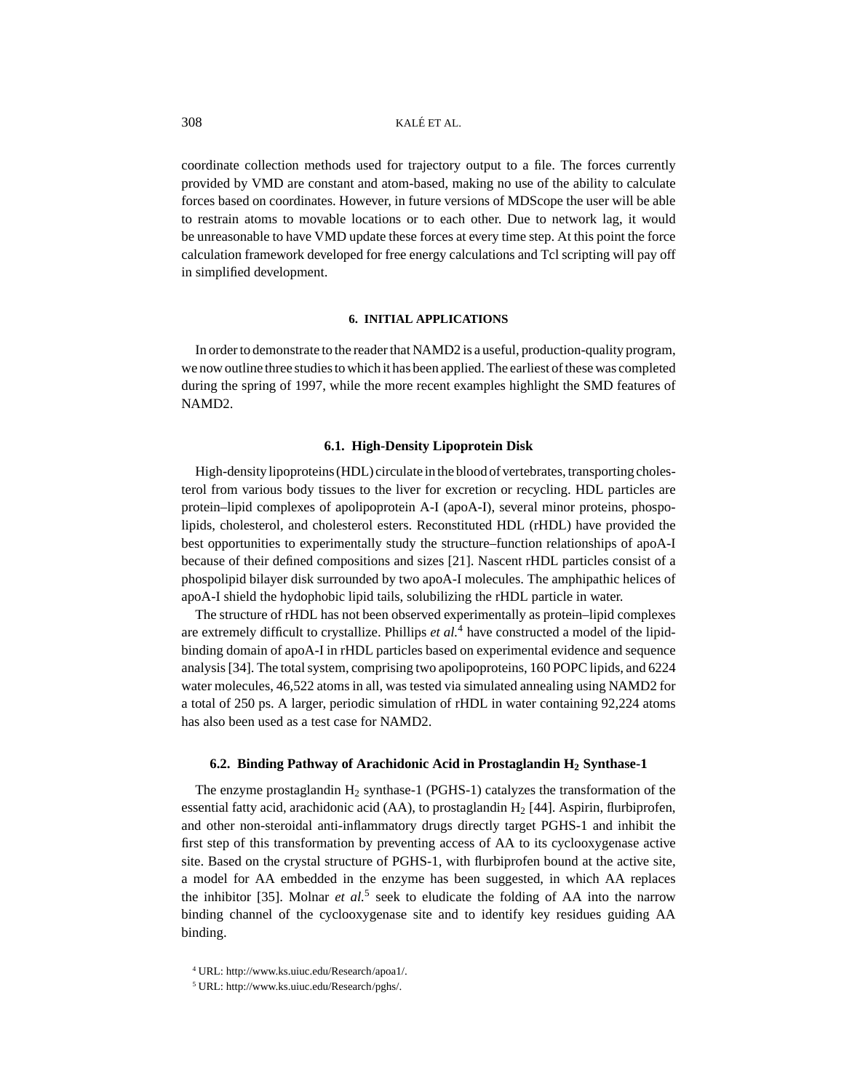coordinate collection methods used for trajectory output to a file. The forces currently provided by VMD are constant and atom-based, making no use of the ability to calculate forces based on coordinates. However, in future versions of MDScope the user will be able to restrain atoms to movable locations or to each other. Due to network lag, it would be unreasonable to have VMD update these forces at every time step. At this point the force calculation framework developed for free energy calculations and Tcl scripting will pay off in simplified development.

#### **6. INITIAL APPLICATIONS**

In order to demonstrate to the reader that NAMD2 is a useful, production-quality program, we now outline three studies to which it has been applied. The earliest of these was completed during the spring of 1997, while the more recent examples highlight the SMD features of NAMD2.

#### **6.1. High-Density Lipoprotein Disk**

High-density lipoproteins (HDL) circulate in the blood of vertebrates, transporting cholesterol from various body tissues to the liver for excretion or recycling. HDL particles are protein–lipid complexes of apolipoprotein A-I (apoA-I), several minor proteins, phospolipids, cholesterol, and cholesterol esters. Reconstituted HDL (rHDL) have provided the best opportunities to experimentally study the structure–function relationships of apoA-I because of their defined compositions and sizes [21]. Nascent rHDL particles consist of a phospolipid bilayer disk surrounded by two apoA-I molecules. The amphipathic helices of apoA-I shield the hydophobic lipid tails, solubilizing the rHDL particle in water.

The structure of rHDL has not been observed experimentally as protein–lipid complexes are extremely difficult to crystallize. Phillips *et al.*<sup>4</sup> have constructed a model of the lipidbinding domain of apoA-I in rHDL particles based on experimental evidence and sequence analysis [34]. The total system, comprising two apolipoproteins, 160 POPC lipids, and 6224 water molecules, 46,522 atoms in all, was tested via simulated annealing using NAMD2 for a total of 250 ps. A larger, periodic simulation of rHDL in water containing 92,224 atoms has also been used as a test case for NAMD2.

#### **6.2. Binding Pathway of Arachidonic Acid in Prostaglandin H<sub>2</sub> Synthase-1**

The enzyme prostaglandin  $H_2$  synthase-1 (PGHS-1) catalyzes the transformation of the essential fatty acid, arachidonic acid (AA), to prostaglandin  $H_2$  [44]. Aspirin, flurbiprofen, and other non-steroidal anti-inflammatory drugs directly target PGHS-1 and inhibit the first step of this transformation by preventing access of AA to its cyclooxygenase active site. Based on the crystal structure of PGHS-1, with flurbiprofen bound at the active site, a model for AA embedded in the enzyme has been suggested, in which AA replaces the inhibitor [35]. Molnar *et al.*<sup>5</sup> seek to eludicate the folding of AA into the narrow binding channel of the cyclooxygenase site and to identify key residues guiding AA binding.

<sup>5</sup> URL: http://www.ks.uiuc.edu/Research/pghs/.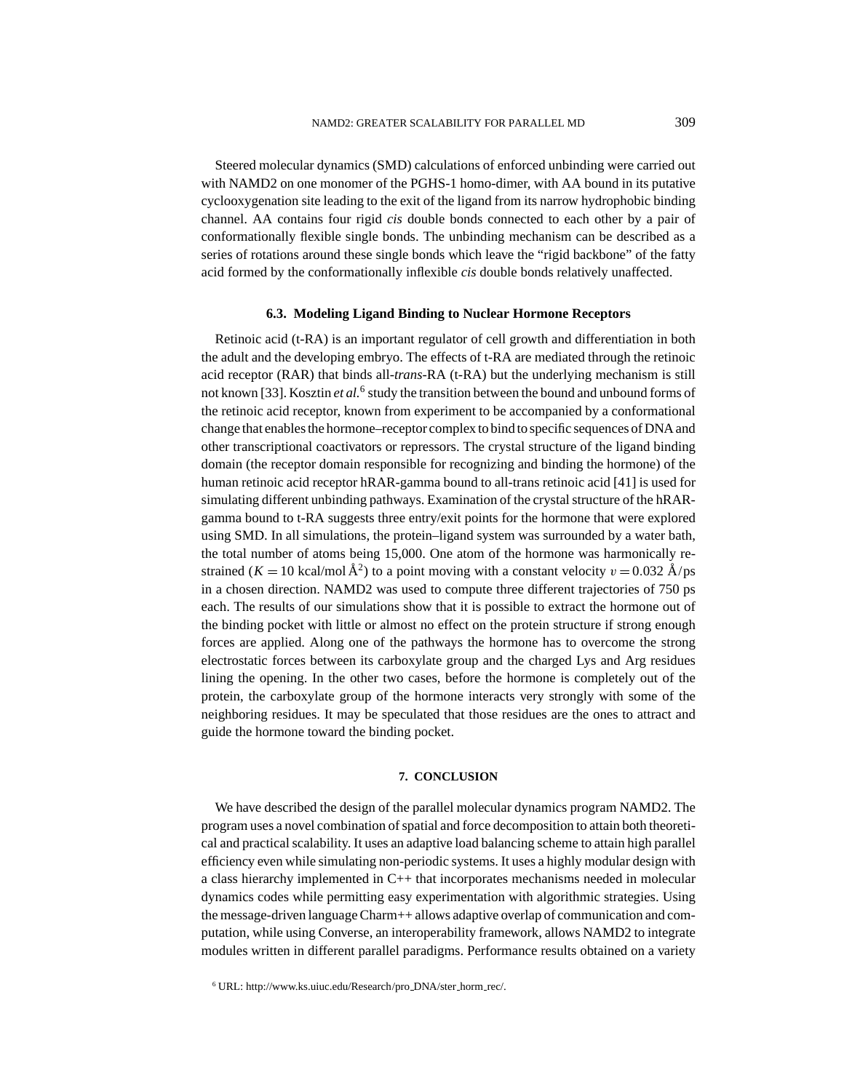Steered molecular dynamics (SMD) calculations of enforced unbinding were carried out with NAMD2 on one monomer of the PGHS-1 homo-dimer, with AA bound in its putative cyclooxygenation site leading to the exit of the ligand from its narrow hydrophobic binding channel. AA contains four rigid *cis* double bonds connected to each other by a pair of conformationally flexible single bonds. The unbinding mechanism can be described as a

## **6.3. Modeling Ligand Binding to Nuclear Hormone Receptors**

series of rotations around these single bonds which leave the "rigid backbone" of the fatty acid formed by the conformationally inflexible *cis* double bonds relatively unaffected.

Retinoic acid (t-RA) is an important regulator of cell growth and differentiation in both the adult and the developing embryo. The effects of t-RA are mediated through the retinoic acid receptor (RAR) that binds all-*trans*-RA (t-RA) but the underlying mechanism is still not known [33]. Kosztin *et al.*<sup>6</sup> study the transition between the bound and unbound forms of the retinoic acid receptor, known from experiment to be accompanied by a conformational change that enables the hormone–receptor complex to bind to specific sequences of DNA and other transcriptional coactivators or repressors. The crystal structure of the ligand binding domain (the receptor domain responsible for recognizing and binding the hormone) of the human retinoic acid receptor hRAR-gamma bound to all-trans retinoic acid [41] is used for simulating different unbinding pathways. Examination of the crystal structure of the hRARgamma bound to t-RA suggests three entry/exit points for the hormone that were explored using SMD. In all simulations, the protein–ligand system was surrounded by a water bath, the total number of atoms being 15,000. One atom of the hormone was harmonically restrained ( $K = 10$  kcal/mol  $\AA^2$ ) to a point moving with a constant velocity  $v = 0.032$   $\AA$ /ps in a chosen direction. NAMD2 was used to compute three different trajectories of 750 ps each. The results of our simulations show that it is possible to extract the hormone out of the binding pocket with little or almost no effect on the protein structure if strong enough forces are applied. Along one of the pathways the hormone has to overcome the strong electrostatic forces between its carboxylate group and the charged Lys and Arg residues lining the opening. In the other two cases, before the hormone is completely out of the protein, the carboxylate group of the hormone interacts very strongly with some of the neighboring residues. It may be speculated that those residues are the ones to attract and guide the hormone toward the binding pocket.

#### **7. CONCLUSION**

We have described the design of the parallel molecular dynamics program NAMD2. The program uses a novel combination of spatial and force decomposition to attain both theoretical and practical scalability. It uses an adaptive load balancing scheme to attain high parallel efficiency even while simulating non-periodic systems. It uses a highly modular design with a class hierarchy implemented in C++ that incorporates mechanisms needed in molecular dynamics codes while permitting easy experimentation with algorithmic strategies. Using the message-driven language Charm++ allows adaptive overlap of communication and computation, while using Converse, an interoperability framework, allows NAMD2 to integrate modules written in different parallel paradigms. Performance results obtained on a variety

<sup>6</sup> URL: http://www.ks.uiuc.edu/Research/pro DNA/ster horm rec/.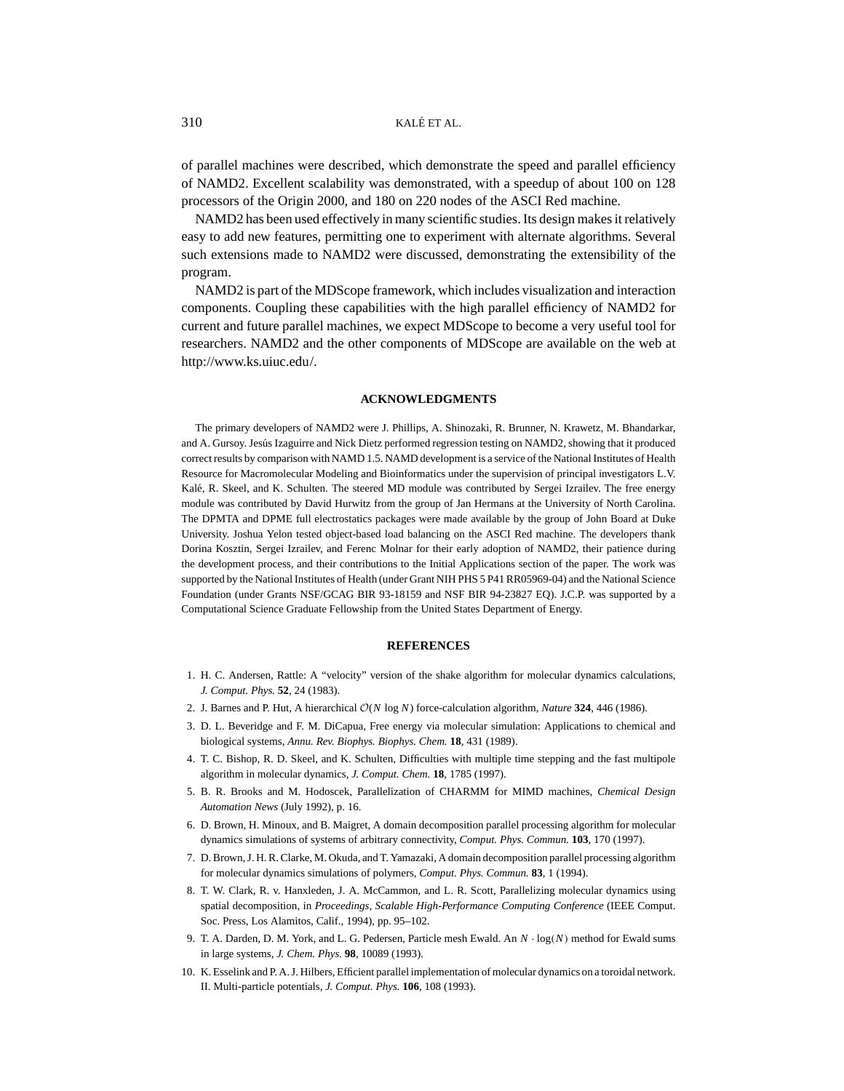of parallel machines were described, which demonstrate the speed and parallel efficiency of NAMD2. Excellent scalability was demonstrated, with a speedup of about 100 on 128 processors of the Origin 2000, and 180 on 220 nodes of the ASCI Red machine.

NAMD2 has been used effectively in many scientific studies. Its design makes it relatively easy to add new features, permitting one to experiment with alternate algorithms. Several such extensions made to NAMD2 were discussed, demonstrating the extensibility of the program.

NAMD2 is part of the MDScope framework, which includes visualization and interaction components. Coupling these capabilities with the high parallel efficiency of NAMD2 for current and future parallel machines, we expect MDScope to become a very useful tool for researchers. NAMD2 and the other components of MDScope are available on the web at http://www.ks.uiuc.edu/.

#### **ACKNOWLEDGMENTS**

The primary developers of NAMD2 were J. Phillips, A. Shinozaki, R. Brunner, N. Krawetz, M. Bhandarkar, and A. Gursoy. Jesús Izaguirre and Nick Dietz performed regression testing on NAMD2, showing that it produced correct results by comparison with NAMD 1.5. NAMD development is a service of the National Institutes of Health Resource for Macromolecular Modeling and Bioinformatics under the supervision of principal investigators L.V. Kalé, R. Skeel, and K. Schulten. The steered MD module was contributed by Sergei Izrailev. The free energy module was contributed by David Hurwitz from the group of Jan Hermans at the University of North Carolina. The DPMTA and DPME full electrostatics packages were made available by the group of John Board at Duke University. Joshua Yelon tested object-based load balancing on the ASCI Red machine. The developers thank Dorina Kosztin, Sergei Izrailev, and Ferenc Molnar for their early adoption of NAMD2, their patience during the development process, and their contributions to the Initial Applications section of the paper. The work was supported by the National Institutes of Health (under Grant NIH PHS 5 P41 RR05969-04) and the National Science Foundation (under Grants NSF/GCAG BIR 93-18159 and NSF BIR 94-23827 EQ). J.C.P. was supported by a Computational Science Graduate Fellowship from the United States Department of Energy.

#### **REFERENCES**

- 1. H. C. Andersen, Rattle: A "velocity" version of the shake algorithm for molecular dynamics calculations, *J. Comput. Phys.* **52**, 24 (1983).
- 2. J. Barnes and P. Hut, A hierarchical O(*N* log *N*) force-calculation algorithm, *Nature* **324**, 446 (1986).
- 3. D. L. Beveridge and F. M. DiCapua, Free energy via molecular simulation: Applications to chemical and biological systems, *Annu. Rev. Biophys. Biophys. Chem.* **18**, 431 (1989).
- 4. T. C. Bishop, R. D. Skeel, and K. Schulten, Difficulties with multiple time stepping and the fast multipole algorithm in molecular dynamics, *J. Comput. Chem.* **18**, 1785 (1997).
- 5. B. R. Brooks and M. Hodoscek, Parallelization of CHARMM for MIMD machines, *Chemical Design Automation News* (July 1992), p. 16.
- 6. D. Brown, H. Minoux, and B. Maigret, A domain decomposition parallel processing algorithm for molecular dynamics simulations of systems of arbitrary connectivity, *Comput. Phys. Commun.* **103**, 170 (1997).
- 7. D. Brown, J. H. R. Clarke, M. Okuda, and T. Yamazaki, A domain decomposition parallel processing algorithm for molecular dynamics simulations of polymers, *Comput. Phys. Commun.* **83**, 1 (1994).
- 8. T. W. Clark, R. v. Hanxleden, J. A. McCammon, and L. R. Scott, Parallelizing molecular dynamics using spatial decomposition, in *Proceedings, Scalable High-Performance Computing Conference* (IEEE Comput. Soc. Press, Los Alamitos, Calif., 1994), pp. 95–102.
- 9. T. A. Darden, D. M. York, and L. G. Pedersen, Particle mesh Ewald. An *N* · log(*N*) method for Ewald sums in large systems, *J. Chem. Phys.* **98**, 10089 (1993).
- 10. K. Esselink and P. A. J. Hilbers, Efficient parallel implementation of molecular dynamics on a toroidal network. II. Multi-particle potentials, *J. Comput. Phys.* **106**, 108 (1993).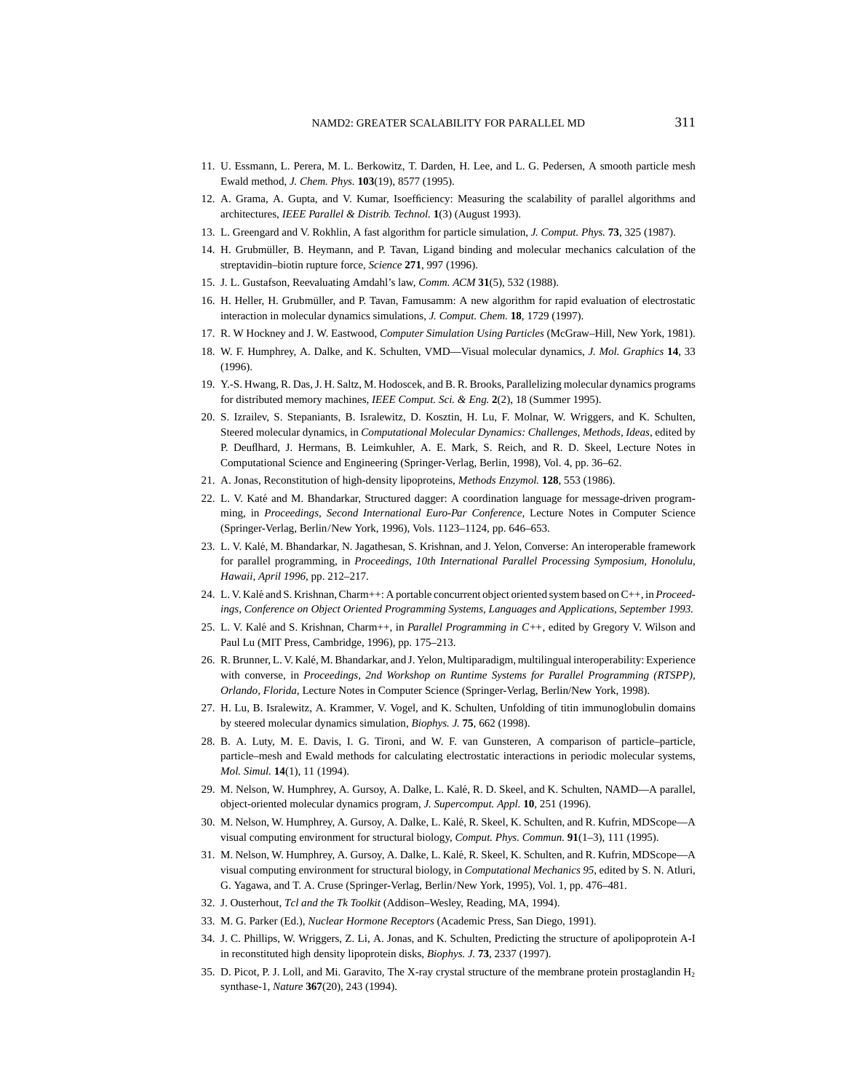- 11. U. Essmann, L. Perera, M. L. Berkowitz, T. Darden, H. Lee, and L. G. Pedersen, A smooth particle mesh Ewald method, *J. Chem. Phys.* **103**(19), 8577 (1995).
- 12. A. Grama, A. Gupta, and V. Kumar, Isoefficiency: Measuring the scalability of parallel algorithms and architectures, *IEEE Parallel & Distrib. Technol.* **1**(3) (August 1993).
- 13. L. Greengard and V. Rokhlin, A fast algorithm for particle simulation, *J. Comput. Phys.* **73**, 325 (1987).
- 14. H. Grubm¨uller, B. Heymann, and P. Tavan, Ligand binding and molecular mechanics calculation of the streptavidin–biotin rupture force, *Science* **271**, 997 (1996).
- 15. J. L. Gustafson, Reevaluating Amdahl's law, *Comm. ACM* **31**(5), 532 (1988).
- 16. H. Heller, H. Grubmüller, and P. Tavan, Famusamm: A new algorithm for rapid evaluation of electrostatic interaction in molecular dynamics simulations, *J. Comput. Chem.* **18**, 1729 (1997).
- 17. R. W Hockney and J. W. Eastwood, *Computer Simulation Using Particles* (McGraw–Hill, New York, 1981).
- 18. W. F. Humphrey, A. Dalke, and K. Schulten, VMD—Visual molecular dynamics, *J. Mol. Graphics* **14**, 33 (1996).
- 19. Y.-S. Hwang, R. Das, J. H. Saltz, M. Hodoscek, and B. R. Brooks, Parallelizing molecular dynamics programs for distributed memory machines, *IEEE Comput. Sci. & Eng.* **2**(2), 18 (Summer 1995).
- 20. S. Izrailev, S. Stepaniants, B. Isralewitz, D. Kosztin, H. Lu, F. Molnar, W. Wriggers, and K. Schulten, Steered molecular dynamics, in *Computational Molecular Dynamics: Challenges, Methods, Ideas*, edited by P. Deuflhard, J. Hermans, B. Leimkuhler, A. E. Mark, S. Reich, and R. D. Skeel, Lecture Notes in Computational Science and Engineering (Springer-Verlag, Berlin, 1998), Vol. 4, pp. 36–62.
- 21. A. Jonas, Reconstitution of high-density lipoproteins, *Methods Enzymol.* **128**, 553 (1986).
- 22. L. V. Katé and M. Bhandarkar, Structured dagger: A coordination language for message-driven programming, in *Proceedings, Second International Euro-Par Conference*, Lecture Notes in Computer Science (Springer-Verlag, Berlin/New York, 1996), Vols. 1123–1124, pp. 646–653.
- 23. L. V. Kalé, M. Bhandarkar, N. Jagathesan, S. Krishnan, and J. Yelon, Converse: An interoperable framework for parallel programming, in *Proceedings, 10th International Parallel Processing Symposium, Honolulu, Hawaii, April 1996*, pp. 212–217.
- 24. L. V. Kalé and S. Krishnan, Charm++: A portable concurrent object oriented system based on C++, in *Proceedings, Conference on Object Oriented Programming Systems, Languages and Applications, September 1993.*
- 25. L. V. Kal´e and S. Krishnan, Charm++, in *Parallel Programming in C++*, edited by Gregory V. Wilson and Paul Lu (MIT Press, Cambridge, 1996), pp. 175–213.
- 26. R. Brunner, L. V. Kalé, M. Bhandarkar, and J. Yelon, Multiparadigm, multilingual interoperability: Experience with converse, in *Proceedings, 2nd Workshop on Runtime Systems for Parallel Programming (RTSPP), Orlando, Florida*, Lecture Notes in Computer Science (Springer-Verlag, Berlin/New York, 1998).
- 27. H. Lu, B. Isralewitz, A. Krammer, V. Vogel, and K. Schulten, Unfolding of titin immunoglobulin domains by steered molecular dynamics simulation, *Biophys. J.* **75**, 662 (1998).
- 28. B. A. Luty, M. E. Davis, I. G. Tironi, and W. F. van Gunsteren, A comparison of particle–particle, particle–mesh and Ewald methods for calculating electrostatic interactions in periodic molecular systems, *Mol. Simul.* **14**(1), 11 (1994).
- 29. M. Nelson, W. Humphrey, A. Gursoy, A. Dalke, L. Kalé, R. D. Skeel, and K. Schulten, NAMD—A parallel, object-oriented molecular dynamics program, *J. Supercomput. Appl.* **10**, 251 (1996).
- 30. M. Nelson, W. Humphrey, A. Gursoy, A. Dalke, L. Kal´e, R. Skeel, K. Schulten, and R. Kufrin, MDScope—A visual computing environment for structural biology, *Comput. Phys. Commun.* **91**(1–3), 111 (1995).
- 31. M. Nelson, W. Humphrey, A. Gursoy, A. Dalke, L. Kal´e, R. Skeel, K. Schulten, and R. Kufrin, MDScope—A visual computing environment for structural biology, in *Computational Mechanics 95*, edited by S. N. Atluri, G. Yagawa, and T. A. Cruse (Springer-Verlag, Berlin/New York, 1995), Vol. 1, pp. 476–481.
- 32. J. Ousterhout, *Tcl and the Tk Toolkit* (Addison–Wesley, Reading, MA, 1994).
- 33. M. G. Parker (Ed.), *Nuclear Hormone Receptors* (Academic Press, San Diego, 1991).
- 34. J. C. Phillips, W. Wriggers, Z. Li, A. Jonas, and K. Schulten, Predicting the structure of apolipoprotein A-I in reconstituted high density lipoprotein disks, *Biophys. J.* **73**, 2337 (1997).
- 35. D. Picot, P. J. Loll, and Mi. Garavito, The X-ray crystal structure of the membrane protein prostaglandin H<sub>2</sub> synthase-1, *Nature* **367**(20), 243 (1994).